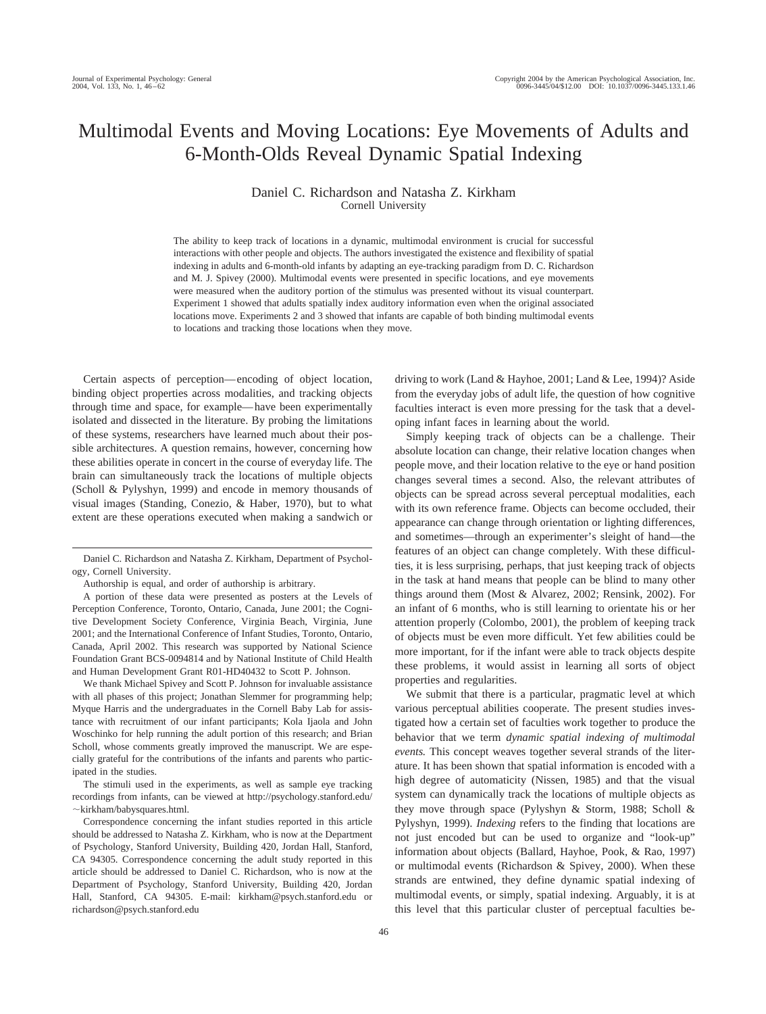# Multimodal Events and Moving Locations: Eye Movements of Adults and 6-Month-Olds Reveal Dynamic Spatial Indexing

# Daniel C. Richardson and Natasha Z. Kirkham Cornell University

The ability to keep track of locations in a dynamic, multimodal environment is crucial for successful interactions with other people and objects. The authors investigated the existence and flexibility of spatial indexing in adults and 6-month-old infants by adapting an eye-tracking paradigm from D. C. Richardson and M. J. Spivey (2000). Multimodal events were presented in specific locations, and eye movements were measured when the auditory portion of the stimulus was presented without its visual counterpart. Experiment 1 showed that adults spatially index auditory information even when the original associated locations move. Experiments 2 and 3 showed that infants are capable of both binding multimodal events to locations and tracking those locations when they move.

Certain aspects of perception—encoding of object location, binding object properties across modalities, and tracking objects through time and space, for example—have been experimentally isolated and dissected in the literature. By probing the limitations of these systems, researchers have learned much about their possible architectures. A question remains, however, concerning how these abilities operate in concert in the course of everyday life. The brain can simultaneously track the locations of multiple objects (Scholl & Pylyshyn, 1999) and encode in memory thousands of visual images (Standing, Conezio, & Haber, 1970), but to what extent are these operations executed when making a sandwich or

Authorship is equal, and order of authorship is arbitrary.

A portion of these data were presented as posters at the Levels of Perception Conference, Toronto, Ontario, Canada, June 2001; the Cognitive Development Society Conference, Virginia Beach, Virginia, June 2001; and the International Conference of Infant Studies, Toronto, Ontario, Canada, April 2002. This research was supported by National Science Foundation Grant BCS-0094814 and by National Institute of Child Health and Human Development Grant R01-HD40432 to Scott P. Johnson.

We thank Michael Spivey and Scott P. Johnson for invaluable assistance with all phases of this project; Jonathan Slemmer for programming help; Myque Harris and the undergraduates in the Cornell Baby Lab for assistance with recruitment of our infant participants; Kola Ijaola and John Woschinko for help running the adult portion of this research; and Brian Scholl, whose comments greatly improved the manuscript. We are especially grateful for the contributions of the infants and parents who participated in the studies.

The stimuli used in the experiments, as well as sample eye tracking recordings from infants, can be viewed at http://psychology.stanford.edu/  $\sim$ kirkham/babysquares.html.

Correspondence concerning the infant studies reported in this article should be addressed to Natasha Z. Kirkham, who is now at the Department of Psychology, Stanford University, Building 420, Jordan Hall, Stanford, CA 94305. Correspondence concerning the adult study reported in this article should be addressed to Daniel C. Richardson, who is now at the Department of Psychology, Stanford University, Building 420, Jordan Hall, Stanford, CA 94305. E-mail: kirkham@psych.stanford.edu or richardson@psych.stanford.edu

driving to work (Land & Hayhoe, 2001; Land & Lee, 1994)? Aside from the everyday jobs of adult life, the question of how cognitive faculties interact is even more pressing for the task that a developing infant faces in learning about the world.

Simply keeping track of objects can be a challenge. Their absolute location can change, their relative location changes when people move, and their location relative to the eye or hand position changes several times a second. Also, the relevant attributes of objects can be spread across several perceptual modalities, each with its own reference frame. Objects can become occluded, their appearance can change through orientation or lighting differences, and sometimes—through an experimenter's sleight of hand—the features of an object can change completely. With these difficulties, it is less surprising, perhaps, that just keeping track of objects in the task at hand means that people can be blind to many other things around them (Most & Alvarez, 2002; Rensink, 2002). For an infant of 6 months, who is still learning to orientate his or her attention properly (Colombo, 2001), the problem of keeping track of objects must be even more difficult. Yet few abilities could be more important, for if the infant were able to track objects despite these problems, it would assist in learning all sorts of object properties and regularities.

We submit that there is a particular, pragmatic level at which various perceptual abilities cooperate. The present studies investigated how a certain set of faculties work together to produce the behavior that we term *dynamic spatial indexing of multimodal events.* This concept weaves together several strands of the literature. It has been shown that spatial information is encoded with a high degree of automaticity (Nissen, 1985) and that the visual system can dynamically track the locations of multiple objects as they move through space (Pylyshyn & Storm, 1988; Scholl & Pylyshyn, 1999). *Indexing* refers to the finding that locations are not just encoded but can be used to organize and "look-up" information about objects (Ballard, Hayhoe, Pook, & Rao, 1997) or multimodal events (Richardson & Spivey, 2000). When these strands are entwined, they define dynamic spatial indexing of multimodal events, or simply, spatial indexing. Arguably, it is at this level that this particular cluster of perceptual faculties be-

Daniel C. Richardson and Natasha Z. Kirkham, Department of Psychology, Cornell University.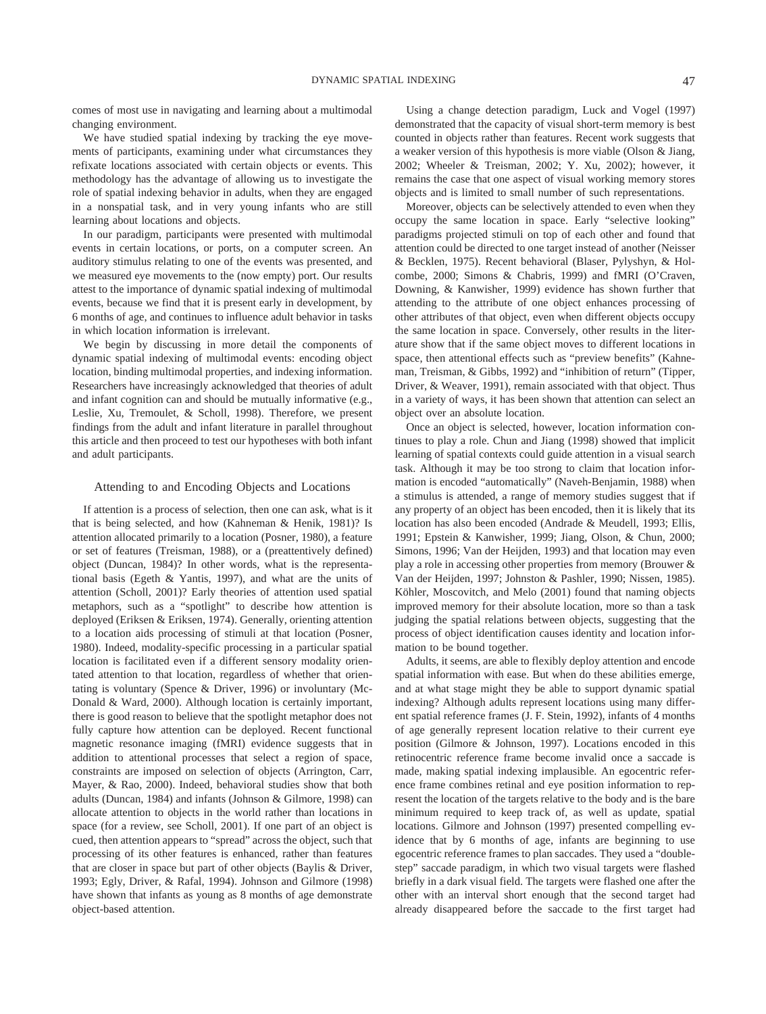comes of most use in navigating and learning about a multimodal changing environment.

We have studied spatial indexing by tracking the eye movements of participants, examining under what circumstances they refixate locations associated with certain objects or events. This methodology has the advantage of allowing us to investigate the role of spatial indexing behavior in adults, when they are engaged in a nonspatial task, and in very young infants who are still learning about locations and objects.

In our paradigm, participants were presented with multimodal events in certain locations, or ports, on a computer screen. An auditory stimulus relating to one of the events was presented, and we measured eye movements to the (now empty) port. Our results attest to the importance of dynamic spatial indexing of multimodal events, because we find that it is present early in development, by 6 months of age, and continues to influence adult behavior in tasks in which location information is irrelevant.

We begin by discussing in more detail the components of dynamic spatial indexing of multimodal events: encoding object location, binding multimodal properties, and indexing information. Researchers have increasingly acknowledged that theories of adult and infant cognition can and should be mutually informative (e.g., Leslie, Xu, Tremoulet, & Scholl, 1998). Therefore, we present findings from the adult and infant literature in parallel throughout this article and then proceed to test our hypotheses with both infant and adult participants.

# Attending to and Encoding Objects and Locations

If attention is a process of selection, then one can ask, what is it that is being selected, and how (Kahneman & Henik, 1981)? Is attention allocated primarily to a location (Posner, 1980), a feature or set of features (Treisman, 1988), or a (preattentively defined) object (Duncan, 1984)? In other words, what is the representational basis (Egeth & Yantis, 1997), and what are the units of attention (Scholl, 2001)? Early theories of attention used spatial metaphors, such as a "spotlight" to describe how attention is deployed (Eriksen & Eriksen, 1974). Generally, orienting attention to a location aids processing of stimuli at that location (Posner, 1980). Indeed, modality-specific processing in a particular spatial location is facilitated even if a different sensory modality orientated attention to that location, regardless of whether that orientating is voluntary (Spence & Driver, 1996) or involuntary (Mc-Donald & Ward, 2000). Although location is certainly important, there is good reason to believe that the spotlight metaphor does not fully capture how attention can be deployed. Recent functional magnetic resonance imaging (fMRI) evidence suggests that in addition to attentional processes that select a region of space, constraints are imposed on selection of objects (Arrington, Carr, Mayer, & Rao, 2000). Indeed, behavioral studies show that both adults (Duncan, 1984) and infants (Johnson & Gilmore, 1998) can allocate attention to objects in the world rather than locations in space (for a review, see Scholl, 2001). If one part of an object is cued, then attention appears to "spread" across the object, such that processing of its other features is enhanced, rather than features that are closer in space but part of other objects (Baylis & Driver, 1993; Egly, Driver, & Rafal, 1994). Johnson and Gilmore (1998) have shown that infants as young as 8 months of age demonstrate object-based attention.

Using a change detection paradigm, Luck and Vogel (1997) demonstrated that the capacity of visual short-term memory is best counted in objects rather than features. Recent work suggests that a weaker version of this hypothesis is more viable (Olson & Jiang, 2002; Wheeler & Treisman, 2002; Y. Xu, 2002); however, it remains the case that one aspect of visual working memory stores objects and is limited to small number of such representations.

Moreover, objects can be selectively attended to even when they occupy the same location in space. Early "selective looking" paradigms projected stimuli on top of each other and found that attention could be directed to one target instead of another (Neisser & Becklen, 1975). Recent behavioral (Blaser, Pylyshyn, & Holcombe, 2000; Simons & Chabris, 1999) and fMRI (O'Craven, Downing, & Kanwisher, 1999) evidence has shown further that attending to the attribute of one object enhances processing of other attributes of that object, even when different objects occupy the same location in space. Conversely, other results in the literature show that if the same object moves to different locations in space, then attentional effects such as "preview benefits" (Kahneman, Treisman, & Gibbs, 1992) and "inhibition of return" (Tipper, Driver, & Weaver, 1991), remain associated with that object. Thus in a variety of ways, it has been shown that attention can select an object over an absolute location.

Once an object is selected, however, location information continues to play a role. Chun and Jiang (1998) showed that implicit learning of spatial contexts could guide attention in a visual search task. Although it may be too strong to claim that location information is encoded "automatically" (Naveh-Benjamin, 1988) when a stimulus is attended, a range of memory studies suggest that if any property of an object has been encoded, then it is likely that its location has also been encoded (Andrade & Meudell, 1993; Ellis, 1991; Epstein & Kanwisher, 1999; Jiang, Olson, & Chun, 2000; Simons, 1996; Van der Heijden, 1993) and that location may even play a role in accessing other properties from memory (Brouwer & Van der Heijden, 1997; Johnston & Pashler, 1990; Nissen, 1985). Köhler, Moscovitch, and Melo (2001) found that naming objects improved memory for their absolute location, more so than a task judging the spatial relations between objects, suggesting that the process of object identification causes identity and location information to be bound together.

Adults, it seems, are able to flexibly deploy attention and encode spatial information with ease. But when do these abilities emerge, and at what stage might they be able to support dynamic spatial indexing? Although adults represent locations using many different spatial reference frames (J. F. Stein, 1992), infants of 4 months of age generally represent location relative to their current eye position (Gilmore & Johnson, 1997). Locations encoded in this retinocentric reference frame become invalid once a saccade is made, making spatial indexing implausible. An egocentric reference frame combines retinal and eye position information to represent the location of the targets relative to the body and is the bare minimum required to keep track of, as well as update, spatial locations. Gilmore and Johnson (1997) presented compelling evidence that by 6 months of age, infants are beginning to use egocentric reference frames to plan saccades. They used a "doublestep" saccade paradigm, in which two visual targets were flashed briefly in a dark visual field. The targets were flashed one after the other with an interval short enough that the second target had already disappeared before the saccade to the first target had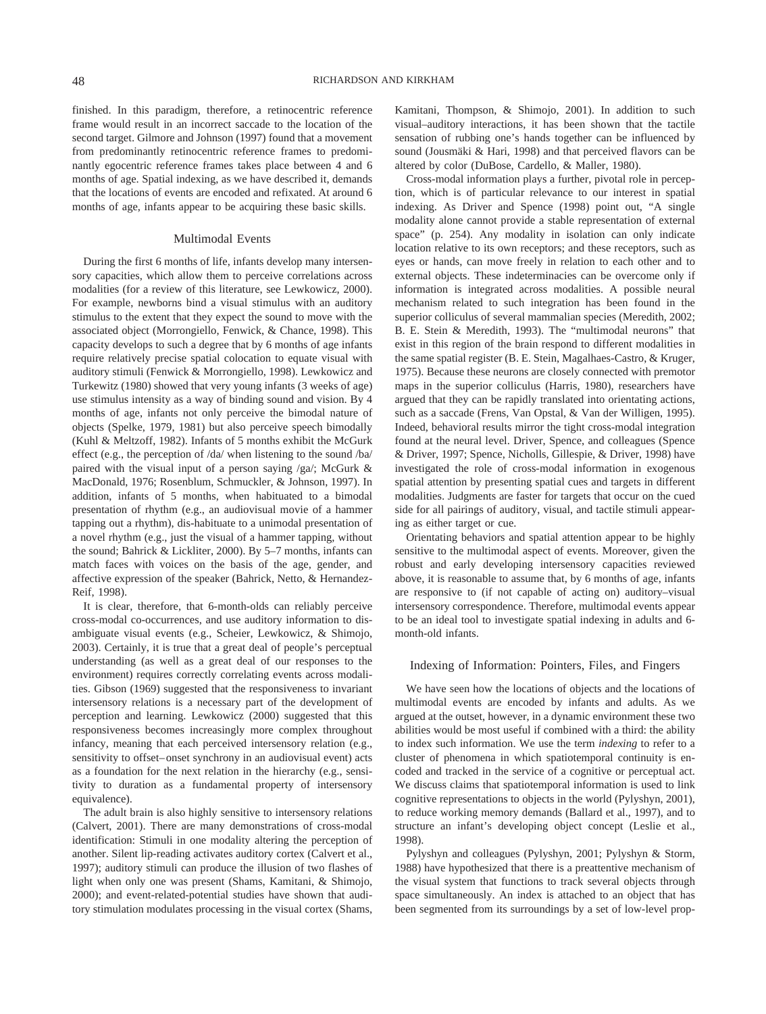finished. In this paradigm, therefore, a retinocentric reference frame would result in an incorrect saccade to the location of the second target. Gilmore and Johnson (1997) found that a movement from predominantly retinocentric reference frames to predominantly egocentric reference frames takes place between 4 and 6 months of age. Spatial indexing, as we have described it, demands that the locations of events are encoded and refixated. At around 6 months of age, infants appear to be acquiring these basic skills.

#### Multimodal Events

During the first 6 months of life, infants develop many intersensory capacities, which allow them to perceive correlations across modalities (for a review of this literature, see Lewkowicz, 2000). For example, newborns bind a visual stimulus with an auditory stimulus to the extent that they expect the sound to move with the associated object (Morrongiello, Fenwick, & Chance, 1998). This capacity develops to such a degree that by 6 months of age infants require relatively precise spatial colocation to equate visual with auditory stimuli (Fenwick & Morrongiello, 1998). Lewkowicz and Turkewitz (1980) showed that very young infants (3 weeks of age) use stimulus intensity as a way of binding sound and vision. By 4 months of age, infants not only perceive the bimodal nature of objects (Spelke, 1979, 1981) but also perceive speech bimodally (Kuhl & Meltzoff, 1982). Infants of 5 months exhibit the McGurk effect (e.g., the perception of /da/ when listening to the sound /ba/ paired with the visual input of a person saying /ga/; McGurk & MacDonald, 1976; Rosenblum, Schmuckler, & Johnson, 1997). In addition, infants of 5 months, when habituated to a bimodal presentation of rhythm (e.g., an audiovisual movie of a hammer tapping out a rhythm), dis-habituate to a unimodal presentation of a novel rhythm (e.g., just the visual of a hammer tapping, without the sound; Bahrick & Lickliter, 2000). By 5–7 months, infants can match faces with voices on the basis of the age, gender, and affective expression of the speaker (Bahrick, Netto, & Hernandez-Reif, 1998).

It is clear, therefore, that 6-month-olds can reliably perceive cross-modal co-occurrences, and use auditory information to disambiguate visual events (e.g., Scheier, Lewkowicz, & Shimojo, 2003). Certainly, it is true that a great deal of people's perceptual understanding (as well as a great deal of our responses to the environment) requires correctly correlating events across modalities. Gibson (1969) suggested that the responsiveness to invariant intersensory relations is a necessary part of the development of perception and learning. Lewkowicz (2000) suggested that this responsiveness becomes increasingly more complex throughout infancy, meaning that each perceived intersensory relation (e.g., sensitivity to offset–onset synchrony in an audiovisual event) acts as a foundation for the next relation in the hierarchy (e.g., sensitivity to duration as a fundamental property of intersensory equivalence).

The adult brain is also highly sensitive to intersensory relations (Calvert, 2001). There are many demonstrations of cross-modal identification: Stimuli in one modality altering the perception of another. Silent lip-reading activates auditory cortex (Calvert et al., 1997); auditory stimuli can produce the illusion of two flashes of light when only one was present (Shams, Kamitani, & Shimojo, 2000); and event-related-potential studies have shown that auditory stimulation modulates processing in the visual cortex (Shams,

Kamitani, Thompson, & Shimojo, 2001). In addition to such visual–auditory interactions, it has been shown that the tactile sensation of rubbing one's hands together can be influenced by sound (Jousmäki & Hari, 1998) and that perceived flavors can be altered by color (DuBose, Cardello, & Maller, 1980).

Cross-modal information plays a further, pivotal role in perception, which is of particular relevance to our interest in spatial indexing. As Driver and Spence (1998) point out, "A single modality alone cannot provide a stable representation of external space" (p. 254). Any modality in isolation can only indicate location relative to its own receptors; and these receptors, such as eyes or hands, can move freely in relation to each other and to external objects. These indeterminacies can be overcome only if information is integrated across modalities. A possible neural mechanism related to such integration has been found in the superior colliculus of several mammalian species (Meredith, 2002; B. E. Stein & Meredith, 1993). The "multimodal neurons" that exist in this region of the brain respond to different modalities in the same spatial register (B. E. Stein, Magalhaes-Castro, & Kruger, 1975). Because these neurons are closely connected with premotor maps in the superior colliculus (Harris, 1980), researchers have argued that they can be rapidly translated into orientating actions, such as a saccade (Frens, Van Opstal, & Van der Willigen, 1995). Indeed, behavioral results mirror the tight cross-modal integration found at the neural level. Driver, Spence, and colleagues (Spence & Driver, 1997; Spence, Nicholls, Gillespie, & Driver, 1998) have investigated the role of cross-modal information in exogenous spatial attention by presenting spatial cues and targets in different modalities. Judgments are faster for targets that occur on the cued side for all pairings of auditory, visual, and tactile stimuli appearing as either target or cue.

Orientating behaviors and spatial attention appear to be highly sensitive to the multimodal aspect of events. Moreover, given the robust and early developing intersensory capacities reviewed above, it is reasonable to assume that, by 6 months of age, infants are responsive to (if not capable of acting on) auditory–visual intersensory correspondence. Therefore, multimodal events appear to be an ideal tool to investigate spatial indexing in adults and 6 month-old infants.

# Indexing of Information: Pointers, Files, and Fingers

We have seen how the locations of objects and the locations of multimodal events are encoded by infants and adults. As we argued at the outset, however, in a dynamic environment these two abilities would be most useful if combined with a third: the ability to index such information. We use the term *indexing* to refer to a cluster of phenomena in which spatiotemporal continuity is encoded and tracked in the service of a cognitive or perceptual act. We discuss claims that spatiotemporal information is used to link cognitive representations to objects in the world (Pylyshyn, 2001), to reduce working memory demands (Ballard et al., 1997), and to structure an infant's developing object concept (Leslie et al., 1998).

Pylyshyn and colleagues (Pylyshyn, 2001; Pylyshyn & Storm, 1988) have hypothesized that there is a preattentive mechanism of the visual system that functions to track several objects through space simultaneously. An index is attached to an object that has been segmented from its surroundings by a set of low-level prop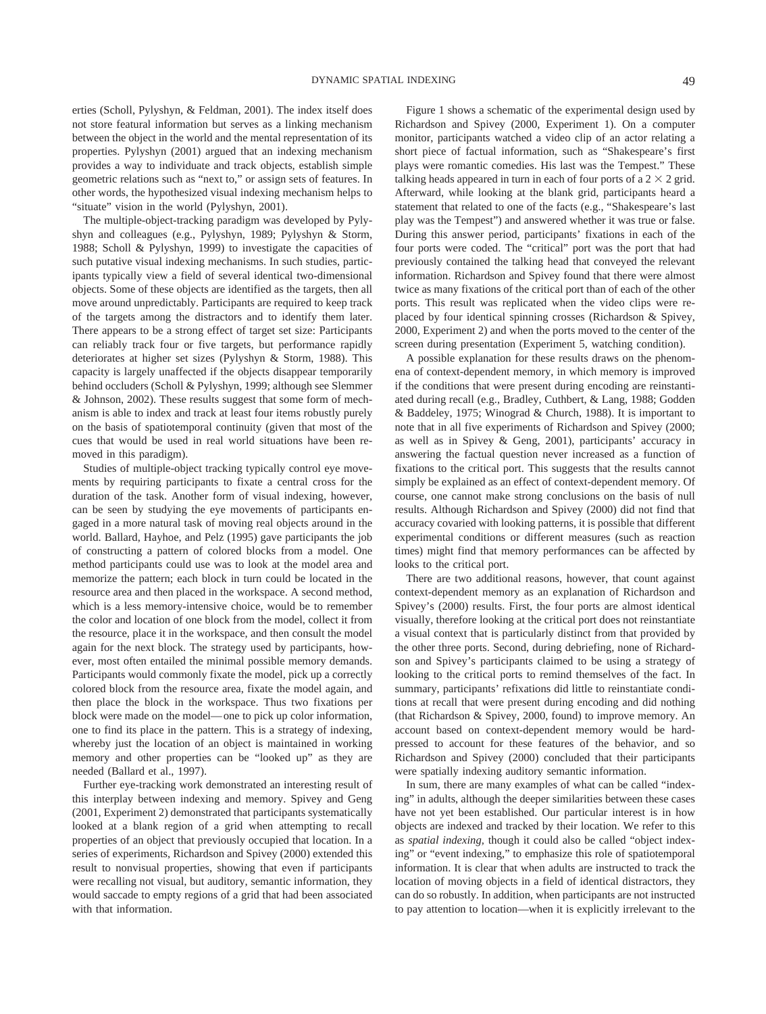erties (Scholl, Pylyshyn, & Feldman, 2001). The index itself does not store featural information but serves as a linking mechanism between the object in the world and the mental representation of its properties. Pylyshyn (2001) argued that an indexing mechanism provides a way to individuate and track objects, establish simple geometric relations such as "next to," or assign sets of features. In other words, the hypothesized visual indexing mechanism helps to "situate" vision in the world (Pylyshyn, 2001).

The multiple-object-tracking paradigm was developed by Pylyshyn and colleagues (e.g., Pylyshyn, 1989; Pylyshyn & Storm, 1988; Scholl & Pylyshyn, 1999) to investigate the capacities of such putative visual indexing mechanisms. In such studies, participants typically view a field of several identical two-dimensional objects. Some of these objects are identified as the targets, then all move around unpredictably. Participants are required to keep track of the targets among the distractors and to identify them later. There appears to be a strong effect of target set size: Participants can reliably track four or five targets, but performance rapidly deteriorates at higher set sizes (Pylyshyn & Storm, 1988). This capacity is largely unaffected if the objects disappear temporarily behind occluders (Scholl & Pylyshyn, 1999; although see Slemmer & Johnson, 2002). These results suggest that some form of mechanism is able to index and track at least four items robustly purely on the basis of spatiotemporal continuity (given that most of the cues that would be used in real world situations have been removed in this paradigm).

Studies of multiple-object tracking typically control eye movements by requiring participants to fixate a central cross for the duration of the task. Another form of visual indexing, however, can be seen by studying the eye movements of participants engaged in a more natural task of moving real objects around in the world. Ballard, Hayhoe, and Pelz (1995) gave participants the job of constructing a pattern of colored blocks from a model. One method participants could use was to look at the model area and memorize the pattern; each block in turn could be located in the resource area and then placed in the workspace. A second method, which is a less memory-intensive choice, would be to remember the color and location of one block from the model, collect it from the resource, place it in the workspace, and then consult the model again for the next block. The strategy used by participants, however, most often entailed the minimal possible memory demands. Participants would commonly fixate the model, pick up a correctly colored block from the resource area, fixate the model again, and then place the block in the workspace. Thus two fixations per block were made on the model—one to pick up color information, one to find its place in the pattern. This is a strategy of indexing, whereby just the location of an object is maintained in working memory and other properties can be "looked up" as they are needed (Ballard et al., 1997).

Further eye-tracking work demonstrated an interesting result of this interplay between indexing and memory. Spivey and Geng (2001, Experiment 2) demonstrated that participants systematically looked at a blank region of a grid when attempting to recall properties of an object that previously occupied that location. In a series of experiments, Richardson and Spivey (2000) extended this result to nonvisual properties, showing that even if participants were recalling not visual, but auditory, semantic information, they would saccade to empty regions of a grid that had been associated with that information.

Figure 1 shows a schematic of the experimental design used by Richardson and Spivey (2000, Experiment 1). On a computer monitor, participants watched a video clip of an actor relating a short piece of factual information, such as "Shakespeare's first plays were romantic comedies. His last was the Tempest." These talking heads appeared in turn in each of four ports of a  $2 \times 2$  grid. Afterward, while looking at the blank grid, participants heard a statement that related to one of the facts (e.g., "Shakespeare's last play was the Tempest") and answered whether it was true or false. During this answer period, participants' fixations in each of the four ports were coded. The "critical" port was the port that had previously contained the talking head that conveyed the relevant information. Richardson and Spivey found that there were almost twice as many fixations of the critical port than of each of the other ports. This result was replicated when the video clips were replaced by four identical spinning crosses (Richardson & Spivey, 2000, Experiment 2) and when the ports moved to the center of the screen during presentation (Experiment 5, watching condition).

A possible explanation for these results draws on the phenomena of context-dependent memory, in which memory is improved if the conditions that were present during encoding are reinstantiated during recall (e.g., Bradley, Cuthbert, & Lang, 1988; Godden & Baddeley, 1975; Winograd & Church, 1988). It is important to note that in all five experiments of Richardson and Spivey (2000; as well as in Spivey & Geng, 2001), participants' accuracy in answering the factual question never increased as a function of fixations to the critical port. This suggests that the results cannot simply be explained as an effect of context-dependent memory. Of course, one cannot make strong conclusions on the basis of null results. Although Richardson and Spivey (2000) did not find that accuracy covaried with looking patterns, it is possible that different experimental conditions or different measures (such as reaction times) might find that memory performances can be affected by looks to the critical port.

There are two additional reasons, however, that count against context-dependent memory as an explanation of Richardson and Spivey's (2000) results. First, the four ports are almost identical visually, therefore looking at the critical port does not reinstantiate a visual context that is particularly distinct from that provided by the other three ports. Second, during debriefing, none of Richardson and Spivey's participants claimed to be using a strategy of looking to the critical ports to remind themselves of the fact. In summary, participants' refixations did little to reinstantiate conditions at recall that were present during encoding and did nothing (that Richardson & Spivey, 2000, found) to improve memory. An account based on context-dependent memory would be hardpressed to account for these features of the behavior, and so Richardson and Spivey (2000) concluded that their participants were spatially indexing auditory semantic information.

In sum, there are many examples of what can be called "indexing" in adults, although the deeper similarities between these cases have not yet been established. Our particular interest is in how objects are indexed and tracked by their location. We refer to this as *spatial indexing,* though it could also be called "object indexing" or "event indexing," to emphasize this role of spatiotemporal information. It is clear that when adults are instructed to track the location of moving objects in a field of identical distractors, they can do so robustly. In addition, when participants are not instructed to pay attention to location—when it is explicitly irrelevant to the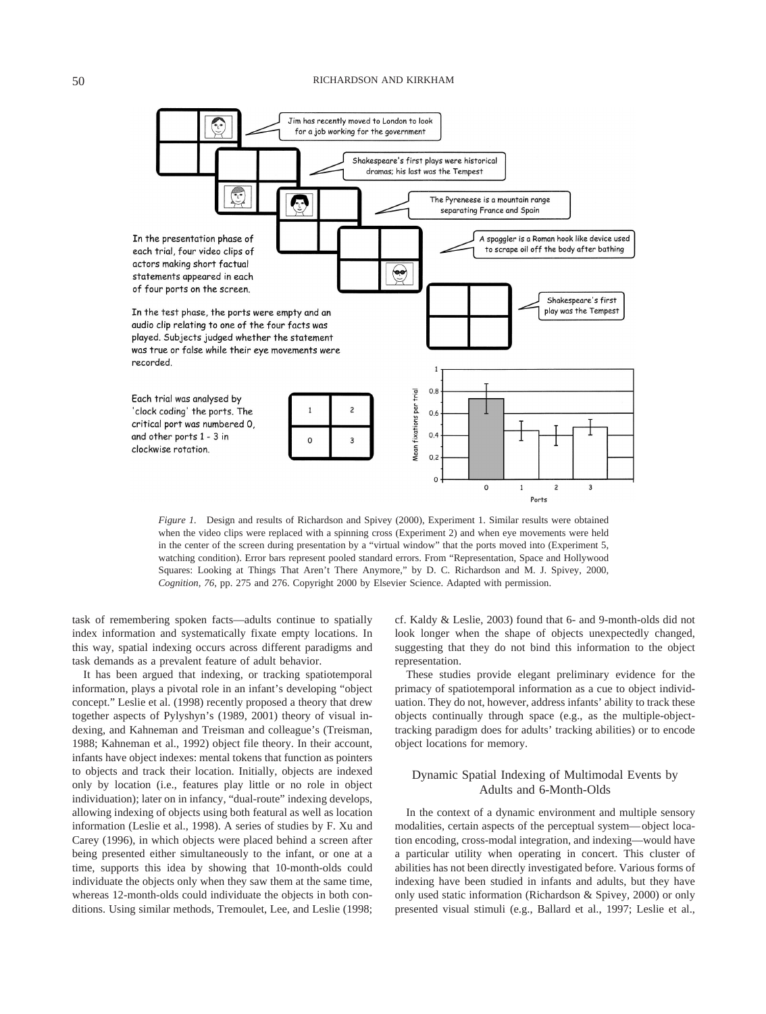

*Figure 1.* Design and results of Richardson and Spivey (2000), Experiment 1. Similar results were obtained when the video clips were replaced with a spinning cross (Experiment 2) and when eye movements were held in the center of the screen during presentation by a "virtual window" that the ports moved into (Experiment 5, watching condition). Error bars represent pooled standard errors. From "Representation, Space and Hollywood Squares: Looking at Things That Aren't There Anymore," by D. C. Richardson and M. J. Spivey, 2000, *Cognition, 76,* pp. 275 and 276. Copyright 2000 by Elsevier Science. Adapted with permission.

task of remembering spoken facts—adults continue to spatially index information and systematically fixate empty locations. In this way, spatial indexing occurs across different paradigms and task demands as a prevalent feature of adult behavior.

It has been argued that indexing, or tracking spatiotemporal information, plays a pivotal role in an infant's developing "object concept." Leslie et al. (1998) recently proposed a theory that drew together aspects of Pylyshyn's (1989, 2001) theory of visual indexing, and Kahneman and Treisman and colleague's (Treisman, 1988; Kahneman et al., 1992) object file theory. In their account, infants have object indexes: mental tokens that function as pointers to objects and track their location. Initially, objects are indexed only by location (i.e., features play little or no role in object individuation); later on in infancy, "dual-route" indexing develops, allowing indexing of objects using both featural as well as location information (Leslie et al., 1998). A series of studies by F. Xu and Carey (1996), in which objects were placed behind a screen after being presented either simultaneously to the infant, or one at a time, supports this idea by showing that 10-month-olds could individuate the objects only when they saw them at the same time, whereas 12-month-olds could individuate the objects in both conditions. Using similar methods, Tremoulet, Lee, and Leslie (1998; cf. Kaldy & Leslie, 2003) found that 6- and 9-month-olds did not look longer when the shape of objects unexpectedly changed, suggesting that they do not bind this information to the object representation.

These studies provide elegant preliminary evidence for the primacy of spatiotemporal information as a cue to object individuation. They do not, however, address infants' ability to track these objects continually through space (e.g., as the multiple-objecttracking paradigm does for adults' tracking abilities) or to encode object locations for memory.

# Dynamic Spatial Indexing of Multimodal Events by Adults and 6-Month-Olds

In the context of a dynamic environment and multiple sensory modalities, certain aspects of the perceptual system—object location encoding, cross-modal integration, and indexing—would have a particular utility when operating in concert. This cluster of abilities has not been directly investigated before. Various forms of indexing have been studied in infants and adults, but they have only used static information (Richardson & Spivey, 2000) or only presented visual stimuli (e.g., Ballard et al., 1997; Leslie et al.,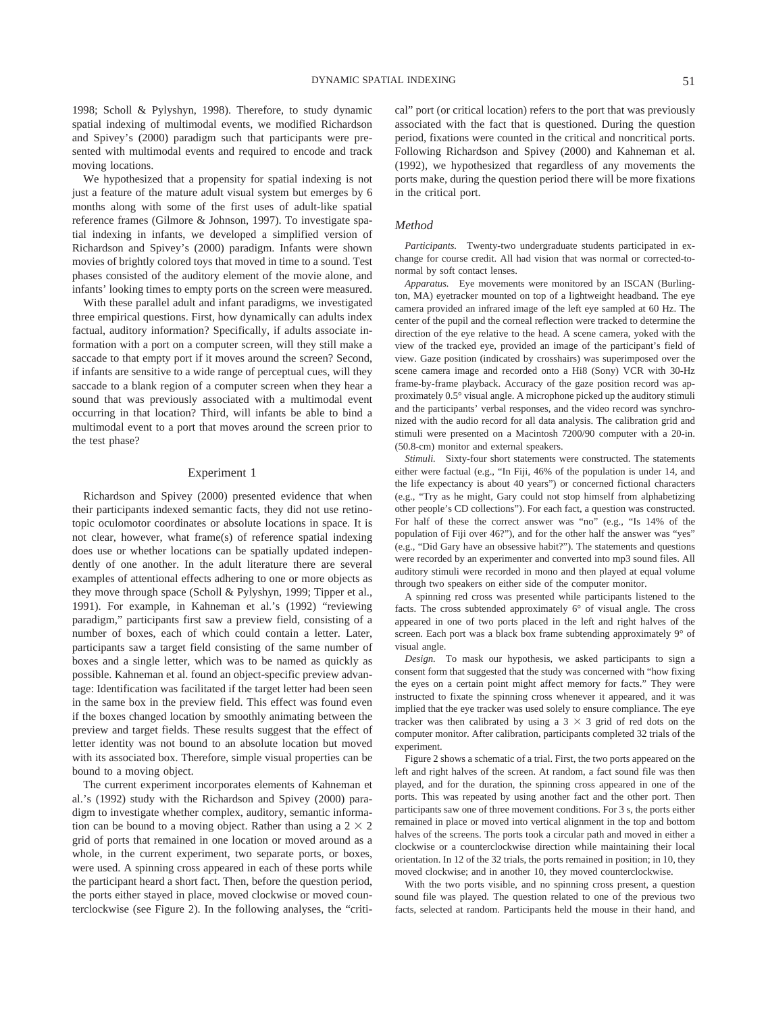1998; Scholl & Pylyshyn, 1998). Therefore, to study dynamic spatial indexing of multimodal events, we modified Richardson and Spivey's (2000) paradigm such that participants were presented with multimodal events and required to encode and track moving locations.

We hypothesized that a propensity for spatial indexing is not just a feature of the mature adult visual system but emerges by 6 months along with some of the first uses of adult-like spatial reference frames (Gilmore & Johnson, 1997). To investigate spatial indexing in infants, we developed a simplified version of Richardson and Spivey's (2000) paradigm. Infants were shown movies of brightly colored toys that moved in time to a sound. Test phases consisted of the auditory element of the movie alone, and infants' looking times to empty ports on the screen were measured.

With these parallel adult and infant paradigms, we investigated three empirical questions. First, how dynamically can adults index factual, auditory information? Specifically, if adults associate information with a port on a computer screen, will they still make a saccade to that empty port if it moves around the screen? Second, if infants are sensitive to a wide range of perceptual cues, will they saccade to a blank region of a computer screen when they hear a sound that was previously associated with a multimodal event occurring in that location? Third, will infants be able to bind a multimodal event to a port that moves around the screen prior to the test phase?

# Experiment 1

Richardson and Spivey (2000) presented evidence that when their participants indexed semantic facts, they did not use retinotopic oculomotor coordinates or absolute locations in space. It is not clear, however, what frame(s) of reference spatial indexing does use or whether locations can be spatially updated independently of one another. In the adult literature there are several examples of attentional effects adhering to one or more objects as they move through space (Scholl & Pylyshyn, 1999; Tipper et al., 1991). For example, in Kahneman et al.'s (1992) "reviewing paradigm," participants first saw a preview field, consisting of a number of boxes, each of which could contain a letter. Later, participants saw a target field consisting of the same number of boxes and a single letter, which was to be named as quickly as possible. Kahneman et al. found an object-specific preview advantage: Identification was facilitated if the target letter had been seen in the same box in the preview field. This effect was found even if the boxes changed location by smoothly animating between the preview and target fields. These results suggest that the effect of letter identity was not bound to an absolute location but moved with its associated box. Therefore, simple visual properties can be bound to a moving object.

The current experiment incorporates elements of Kahneman et al.'s (1992) study with the Richardson and Spivey (2000) paradigm to investigate whether complex, auditory, semantic information can be bound to a moving object. Rather than using a  $2 \times 2$ grid of ports that remained in one location or moved around as a whole, in the current experiment, two separate ports, or boxes, were used. A spinning cross appeared in each of these ports while the participant heard a short fact. Then, before the question period, the ports either stayed in place, moved clockwise or moved counterclockwise (see Figure 2). In the following analyses, the "critical" port (or critical location) refers to the port that was previously associated with the fact that is questioned. During the question period, fixations were counted in the critical and noncritical ports. Following Richardson and Spivey (2000) and Kahneman et al. (1992), we hypothesized that regardless of any movements the ports make, during the question period there will be more fixations in the critical port.

#### *Method*

*Participants.* Twenty-two undergraduate students participated in exchange for course credit. All had vision that was normal or corrected-tonormal by soft contact lenses.

*Apparatus.* Eye movements were monitored by an ISCAN (Burlington, MA) eyetracker mounted on top of a lightweight headband. The eye camera provided an infrared image of the left eye sampled at 60 Hz. The center of the pupil and the corneal reflection were tracked to determine the direction of the eye relative to the head. A scene camera, yoked with the view of the tracked eye, provided an image of the participant's field of view. Gaze position (indicated by crosshairs) was superimposed over the scene camera image and recorded onto a Hi8 (Sony) VCR with 30-Hz frame-by-frame playback. Accuracy of the gaze position record was approximately 0.5° visual angle. A microphone picked up the auditory stimuli and the participants' verbal responses, and the video record was synchronized with the audio record for all data analysis. The calibration grid and stimuli were presented on a Macintosh 7200/90 computer with a 20-in. (50.8-cm) monitor and external speakers.

*Stimuli.* Sixty-four short statements were constructed. The statements either were factual (e.g., "In Fiji, 46% of the population is under 14, and the life expectancy is about 40 years") or concerned fictional characters (e.g., "Try as he might, Gary could not stop himself from alphabetizing other people's CD collections"). For each fact, a question was constructed. For half of these the correct answer was "no" (e.g., "Is 14% of the population of Fiji over 46?"), and for the other half the answer was "yes" (e.g., "Did Gary have an obsessive habit?"). The statements and questions were recorded by an experimenter and converted into mp3 sound files. All auditory stimuli were recorded in mono and then played at equal volume through two speakers on either side of the computer monitor.

A spinning red cross was presented while participants listened to the facts. The cross subtended approximately 6° of visual angle. The cross appeared in one of two ports placed in the left and right halves of the screen. Each port was a black box frame subtending approximately 9° of visual angle.

*Design.* To mask our hypothesis, we asked participants to sign a consent form that suggested that the study was concerned with "how fixing the eyes on a certain point might affect memory for facts." They were instructed to fixate the spinning cross whenever it appeared, and it was implied that the eye tracker was used solely to ensure compliance. The eye tracker was then calibrated by using a  $3 \times 3$  grid of red dots on the computer monitor. After calibration, participants completed 32 trials of the experiment.

Figure 2 shows a schematic of a trial. First, the two ports appeared on the left and right halves of the screen. At random, a fact sound file was then played, and for the duration, the spinning cross appeared in one of the ports. This was repeated by using another fact and the other port. Then participants saw one of three movement conditions. For 3 s, the ports either remained in place or moved into vertical alignment in the top and bottom halves of the screens. The ports took a circular path and moved in either a clockwise or a counterclockwise direction while maintaining their local orientation. In 12 of the 32 trials, the ports remained in position; in 10, they moved clockwise; and in another 10, they moved counterclockwise.

With the two ports visible, and no spinning cross present, a question sound file was played. The question related to one of the previous two facts, selected at random. Participants held the mouse in their hand, and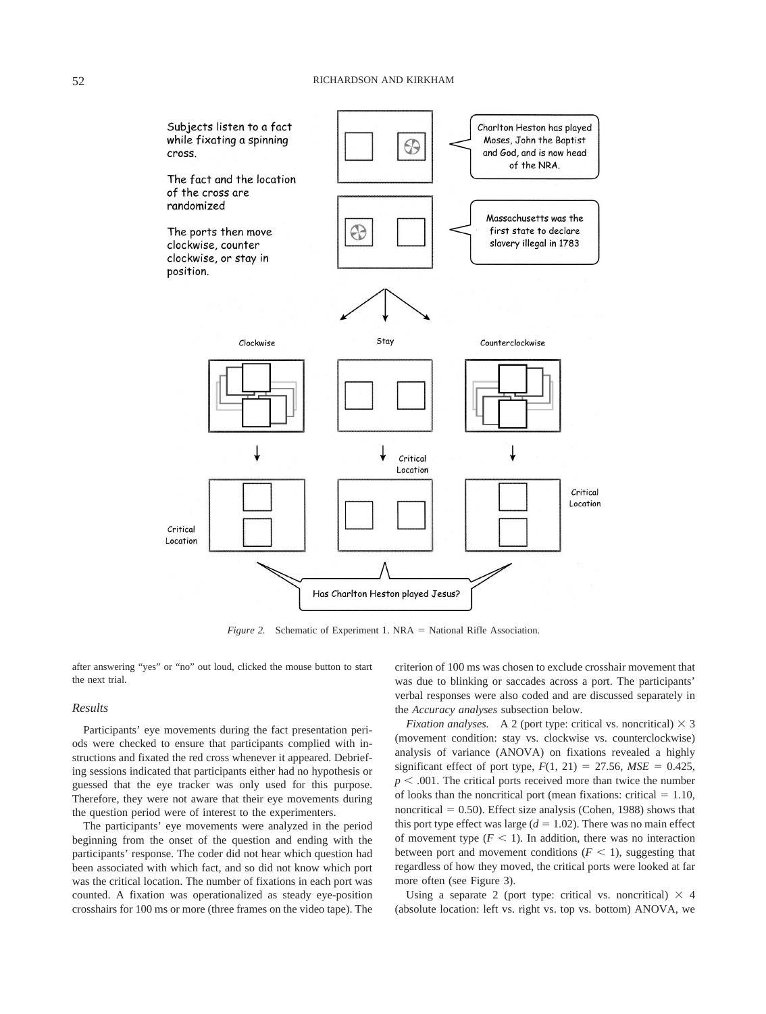#### 52 RICHARDSON AND KIRKHAM

![](_page_6_Figure_1.jpeg)

*Figure 2.* Schematic of Experiment 1. NRA = National Rifle Association.

after answering "yes" or "no" out loud, clicked the mouse button to start the next trial.

#### *Results*

Participants' eye movements during the fact presentation periods were checked to ensure that participants complied with instructions and fixated the red cross whenever it appeared. Debriefing sessions indicated that participants either had no hypothesis or guessed that the eye tracker was only used for this purpose. Therefore, they were not aware that their eye movements during the question period were of interest to the experimenters.

The participants' eye movements were analyzed in the period beginning from the onset of the question and ending with the participants' response. The coder did not hear which question had been associated with which fact, and so did not know which port was the critical location. The number of fixations in each port was counted. A fixation was operationalized as steady eye-position crosshairs for 100 ms or more (three frames on the video tape). The criterion of 100 ms was chosen to exclude crosshair movement that was due to blinking or saccades across a port. The participants' verbal responses were also coded and are discussed separately in the *Accuracy analyses* subsection below.

*Fixation analyses.* A 2 (port type: critical vs. noncritical)  $\times$  3 (movement condition: stay vs. clockwise vs. counterclockwise) analysis of variance (ANOVA) on fixations revealed a highly significant effect of port type,  $F(1, 21) = 27.56$ ,  $MSE = 0.425$ ,  $p < .001$ . The critical ports received more than twice the number of looks than the noncritical port (mean fixations: critical  $= 1.10$ , noncritical  $= 0.50$ ). Effect size analysis (Cohen, 1988) shows that this port type effect was large  $(d = 1.02)$ . There was no main effect of movement type  $(F < 1)$ . In addition, there was no interaction between port and movement conditions  $(F < 1)$ , suggesting that regardless of how they moved, the critical ports were looked at far more often (see Figure 3).

Using a separate 2 (port type: critical vs. noncritical)  $\times$  4 (absolute location: left vs. right vs. top vs. bottom) ANOVA, we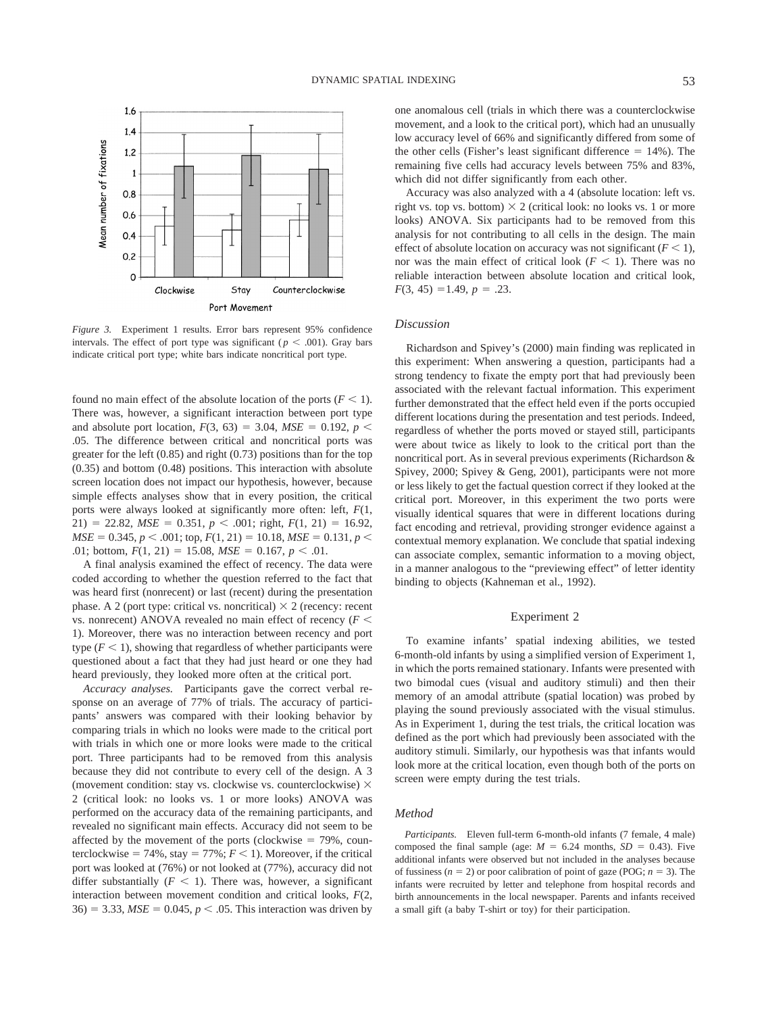![](_page_7_Figure_2.jpeg)

*Figure 3.* Experiment 1 results. Error bars represent 95% confidence intervals. The effect of port type was significant ( $p < .001$ ). Gray bars indicate critical port type; white bars indicate noncritical port type.

found no main effect of the absolute location of the ports  $(F < 1)$ . There was, however, a significant interaction between port type and absolute port location,  $F(3, 63) = 3.04$ ,  $MSE = 0.192$ ,  $p <$ .05. The difference between critical and noncritical ports was greater for the left (0.85) and right (0.73) positions than for the top (0.35) and bottom (0.48) positions. This interaction with absolute screen location does not impact our hypothesis, however, because simple effects analyses show that in every position, the critical ports were always looked at significantly more often: left, *F*(1,  $21) = 22.82$ ,  $MSE = 0.351$ ,  $p < .001$ ; right,  $F(1, 21) = 16.92$ ,  $MSE = 0.345$ ,  $p < .001$ ; top,  $F(1, 21) = 10.18$ ,  $MSE = 0.131$ ,  $p <$ .01; bottom,  $F(1, 21) = 15.08$ ,  $MSE = 0.167$ ,  $p < .01$ .

A final analysis examined the effect of recency. The data were coded according to whether the question referred to the fact that was heard first (nonrecent) or last (recent) during the presentation phase. A 2 (port type: critical vs. noncritical)  $\times$  2 (recency: recent vs. nonrecent) ANOVA revealed no main effect of recency  $(F \leq$ 1). Moreover, there was no interaction between recency and port type  $(F \leq 1)$ , showing that regardless of whether participants were questioned about a fact that they had just heard or one they had heard previously, they looked more often at the critical port.

*Accuracy analyses.* Participants gave the correct verbal response on an average of 77% of trials. The accuracy of participants' answers was compared with their looking behavior by comparing trials in which no looks were made to the critical port with trials in which one or more looks were made to the critical port. Three participants had to be removed from this analysis because they did not contribute to every cell of the design. A 3 (movement condition: stay vs. clockwise vs. counterclockwise)  $\times$ 2 (critical look: no looks vs. 1 or more looks) ANOVA was performed on the accuracy data of the remaining participants, and revealed no significant main effects. Accuracy did not seem to be affected by the movement of the ports (clockwise  $= 79\%$ , counterclockwise  $= 74\%$ , stay  $= 77\%$ ;  $F < 1$ ). Moreover, if the critical port was looked at (76%) or not looked at (77%), accuracy did not differ substantially  $(F \leq 1)$ . There was, however, a significant interaction between movement condition and critical looks, *F*(2,  $36$  = 3.33, *MSE* = 0.045, *p* < .05. This interaction was driven by one anomalous cell (trials in which there was a counterclockwise movement, and a look to the critical port), which had an unusually low accuracy level of 66% and significantly differed from some of the other cells (Fisher's least significant difference  $= 14\%$ ). The remaining five cells had accuracy levels between 75% and 83%, which did not differ significantly from each other.

Accuracy was also analyzed with a 4 (absolute location: left vs. right vs. top vs. bottom)  $\times$  2 (critical look: no looks vs. 1 or more looks) ANOVA. Six participants had to be removed from this analysis for not contributing to all cells in the design. The main effect of absolute location on accuracy was not significant  $(F \le 1)$ , nor was the main effect of critical look  $(F \leq 1)$ . There was no reliable interaction between absolute location and critical look,  $F(3, 45) = 1.49, p = .23.$ 

# *Discussion*

Richardson and Spivey's (2000) main finding was replicated in this experiment: When answering a question, participants had a strong tendency to fixate the empty port that had previously been associated with the relevant factual information. This experiment further demonstrated that the effect held even if the ports occupied different locations during the presentation and test periods. Indeed, regardless of whether the ports moved or stayed still, participants were about twice as likely to look to the critical port than the noncritical port. As in several previous experiments (Richardson & Spivey, 2000; Spivey & Geng, 2001), participants were not more or less likely to get the factual question correct if they looked at the critical port. Moreover, in this experiment the two ports were visually identical squares that were in different locations during fact encoding and retrieval, providing stronger evidence against a contextual memory explanation. We conclude that spatial indexing can associate complex, semantic information to a moving object, in a manner analogous to the "previewing effect" of letter identity binding to objects (Kahneman et al., 1992).

# Experiment 2

To examine infants' spatial indexing abilities, we tested 6-month-old infants by using a simplified version of Experiment 1, in which the ports remained stationary. Infants were presented with two bimodal cues (visual and auditory stimuli) and then their memory of an amodal attribute (spatial location) was probed by playing the sound previously associated with the visual stimulus. As in Experiment 1, during the test trials, the critical location was defined as the port which had previously been associated with the auditory stimuli. Similarly, our hypothesis was that infants would look more at the critical location, even though both of the ports on screen were empty during the test trials.

# *Method*

*Participants.* Eleven full-term 6-month-old infants (7 female, 4 male) composed the final sample (age:  $M = 6.24$  months,  $SD = 0.43$ ). Five additional infants were observed but not included in the analyses because of fussiness  $(n = 2)$  or poor calibration of point of gaze (POG;  $n = 3$ ). The infants were recruited by letter and telephone from hospital records and birth announcements in the local newspaper. Parents and infants received a small gift (a baby T-shirt or toy) for their participation.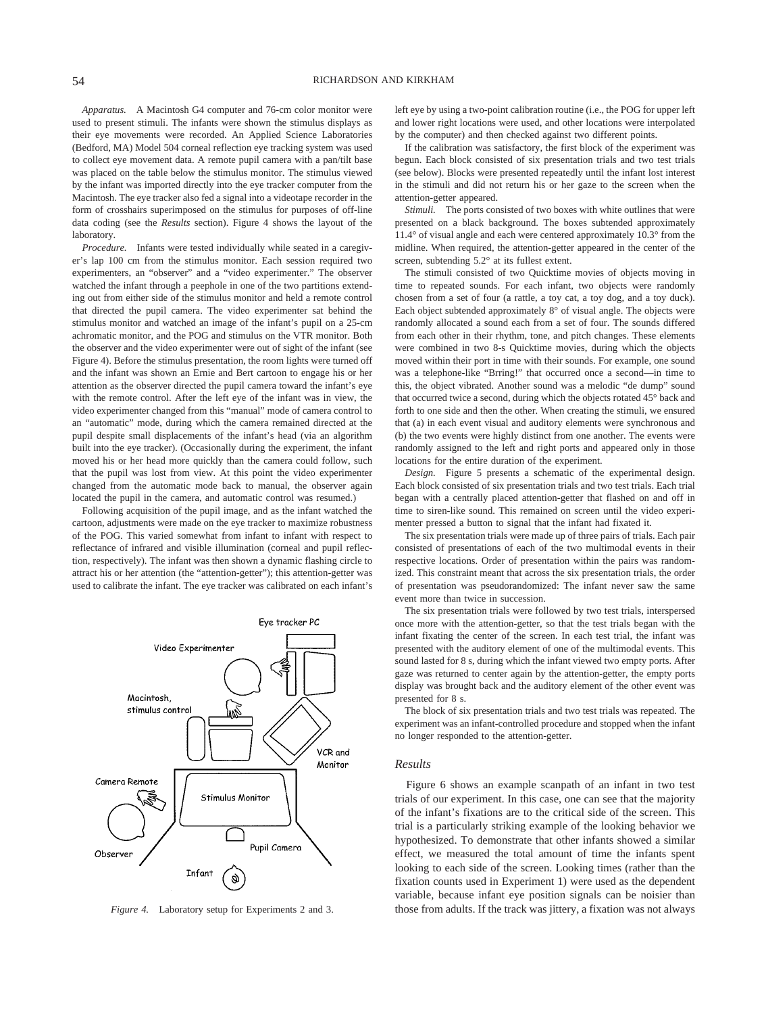*Apparatus.* A Macintosh G4 computer and 76-cm color monitor were used to present stimuli. The infants were shown the stimulus displays as their eye movements were recorded. An Applied Science Laboratories (Bedford, MA) Model 504 corneal reflection eye tracking system was used to collect eye movement data. A remote pupil camera with a pan/tilt base was placed on the table below the stimulus monitor. The stimulus viewed by the infant was imported directly into the eye tracker computer from the Macintosh. The eye tracker also fed a signal into a videotape recorder in the form of crosshairs superimposed on the stimulus for purposes of off-line data coding (see the *Results* section). Figure 4 shows the layout of the laboratory.

*Procedure.* Infants were tested individually while seated in a caregiver's lap 100 cm from the stimulus monitor. Each session required two experimenters, an "observer" and a "video experimenter." The observer watched the infant through a peephole in one of the two partitions extending out from either side of the stimulus monitor and held a remote control that directed the pupil camera. The video experimenter sat behind the stimulus monitor and watched an image of the infant's pupil on a 25-cm achromatic monitor, and the POG and stimulus on the VTR monitor. Both the observer and the video experimenter were out of sight of the infant (see Figure 4). Before the stimulus presentation, the room lights were turned off and the infant was shown an Ernie and Bert cartoon to engage his or her attention as the observer directed the pupil camera toward the infant's eye with the remote control. After the left eye of the infant was in view, the video experimenter changed from this "manual" mode of camera control to an "automatic" mode, during which the camera remained directed at the pupil despite small displacements of the infant's head (via an algorithm built into the eye tracker). (Occasionally during the experiment, the infant moved his or her head more quickly than the camera could follow, such that the pupil was lost from view. At this point the video experimenter changed from the automatic mode back to manual, the observer again located the pupil in the camera, and automatic control was resumed.)

Following acquisition of the pupil image, and as the infant watched the cartoon, adjustments were made on the eye tracker to maximize robustness of the POG. This varied somewhat from infant to infant with respect to reflectance of infrared and visible illumination (corneal and pupil reflection, respectively). The infant was then shown a dynamic flashing circle to attract his or her attention (the "attention-getter"); this attention-getter was used to calibrate the infant. The eye tracker was calibrated on each infant's

![](_page_8_Figure_4.jpeg)

left eye by using a two-point calibration routine (i.e., the POG for upper left and lower right locations were used, and other locations were interpolated by the computer) and then checked against two different points.

If the calibration was satisfactory, the first block of the experiment was begun. Each block consisted of six presentation trials and two test trials (see below). Blocks were presented repeatedly until the infant lost interest in the stimuli and did not return his or her gaze to the screen when the attention-getter appeared.

*Stimuli.* The ports consisted of two boxes with white outlines that were presented on a black background. The boxes subtended approximately 11.4° of visual angle and each were centered approximately 10.3° from the midline. When required, the attention-getter appeared in the center of the screen, subtending 5.2° at its fullest extent.

The stimuli consisted of two Quicktime movies of objects moving in time to repeated sounds. For each infant, two objects were randomly chosen from a set of four (a rattle, a toy cat, a toy dog, and a toy duck). Each object subtended approximately 8° of visual angle. The objects were randomly allocated a sound each from a set of four. The sounds differed from each other in their rhythm, tone, and pitch changes. These elements were combined in two 8-s Quicktime movies, during which the objects moved within their port in time with their sounds. For example, one sound was a telephone-like "Brring!" that occurred once a second—in time to this, the object vibrated. Another sound was a melodic "de dump" sound that occurred twice a second, during which the objects rotated 45° back and forth to one side and then the other. When creating the stimuli, we ensured that (a) in each event visual and auditory elements were synchronous and (b) the two events were highly distinct from one another. The events were randomly assigned to the left and right ports and appeared only in those locations for the entire duration of the experiment.

*Design.* Figure 5 presents a schematic of the experimental design. Each block consisted of six presentation trials and two test trials. Each trial began with a centrally placed attention-getter that flashed on and off in time to siren-like sound. This remained on screen until the video experimenter pressed a button to signal that the infant had fixated it.

The six presentation trials were made up of three pairs of trials. Each pair consisted of presentations of each of the two multimodal events in their respective locations. Order of presentation within the pairs was randomized. This constraint meant that across the six presentation trials, the order of presentation was pseudorandomized: The infant never saw the same event more than twice in succession.

The six presentation trials were followed by two test trials, interspersed once more with the attention-getter, so that the test trials began with the infant fixating the center of the screen. In each test trial, the infant was presented with the auditory element of one of the multimodal events. This sound lasted for 8 s, during which the infant viewed two empty ports. After gaze was returned to center again by the attention-getter, the empty ports display was brought back and the auditory element of the other event was presented for 8 s.

The block of six presentation trials and two test trials was repeated. The experiment was an infant-controlled procedure and stopped when the infant no longer responded to the attention-getter.

#### *Results*

Figure 6 shows an example scanpath of an infant in two test trials of our experiment. In this case, one can see that the majority of the infant's fixations are to the critical side of the screen. This trial is a particularly striking example of the looking behavior we hypothesized. To demonstrate that other infants showed a similar effect, we measured the total amount of time the infants spent looking to each side of the screen. Looking times (rather than the fixation counts used in Experiment 1) were used as the dependent variable, because infant eye position signals can be noisier than *Figure 4.* Laboratory setup for Experiments 2 and 3. those from adults. If the track was jittery, a fixation was not always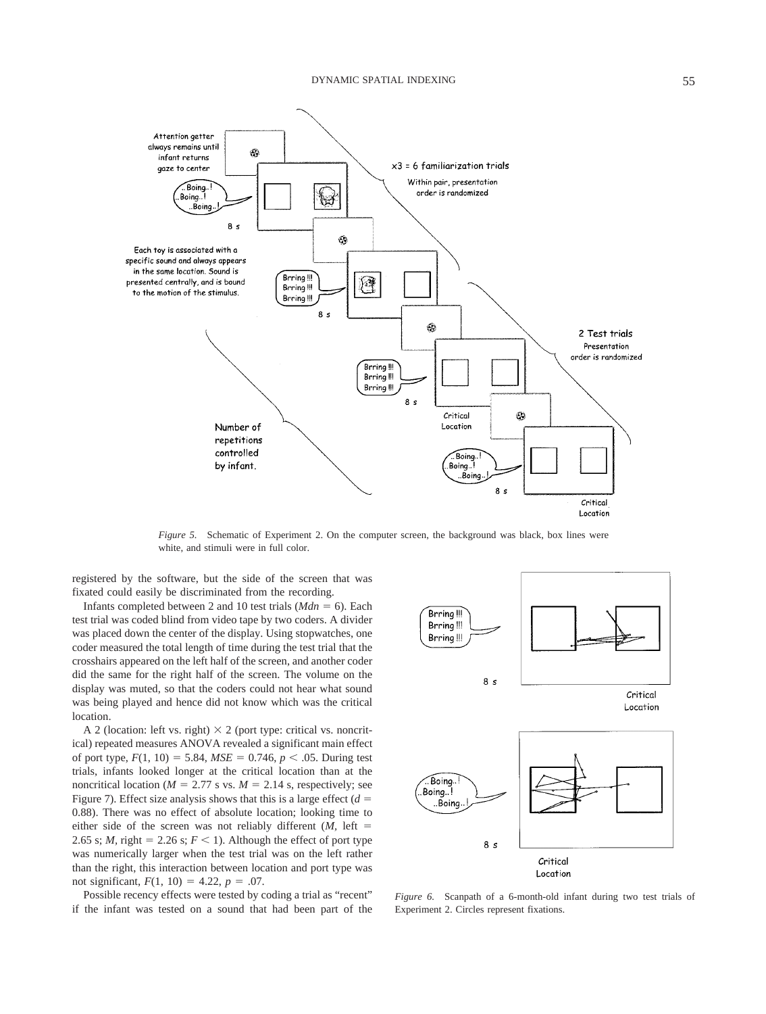![](_page_9_Figure_1.jpeg)

*Figure 5.* Schematic of Experiment 2. On the computer screen, the background was black, box lines were white, and stimuli were in full color.

registered by the software, but the side of the screen that was fixated could easily be discriminated from the recording.

Infants completed between 2 and 10 test trials  $(Mdn = 6)$ . Each test trial was coded blind from video tape by two coders. A divider was placed down the center of the display. Using stopwatches, one coder measured the total length of time during the test trial that the crosshairs appeared on the left half of the screen, and another coder did the same for the right half of the screen. The volume on the display was muted, so that the coders could not hear what sound was being played and hence did not know which was the critical location.

A 2 (location: left vs. right)  $\times$  2 (port type: critical vs. noncritical) repeated measures ANOVA revealed a significant main effect of port type,  $F(1, 10) = 5.84$ ,  $MSE = 0.746$ ,  $p < .05$ . During test trials, infants looked longer at the critical location than at the noncritical location ( $M = 2.77$  s vs.  $M = 2.14$  s, respectively; see Figure 7). Effect size analysis shows that this is a large effect  $(d =$ 0.88). There was no effect of absolute location; looking time to either side of the screen was not reliably different  $(M, \text{ left} =$ 2.65 s; *M*, right = 2.26 s;  $F \le 1$ ). Although the effect of port type was numerically larger when the test trial was on the left rather than the right, this interaction between location and port type was not significant,  $F(1, 10) = 4.22$ ,  $p = .07$ .

Possible recency effects were tested by coding a trial as "recent" if the infant was tested on a sound that had been part of the

![](_page_9_Figure_7.jpeg)

*Figure 6.* Scanpath of a 6-month-old infant during two test trials of Experiment 2. Circles represent fixations.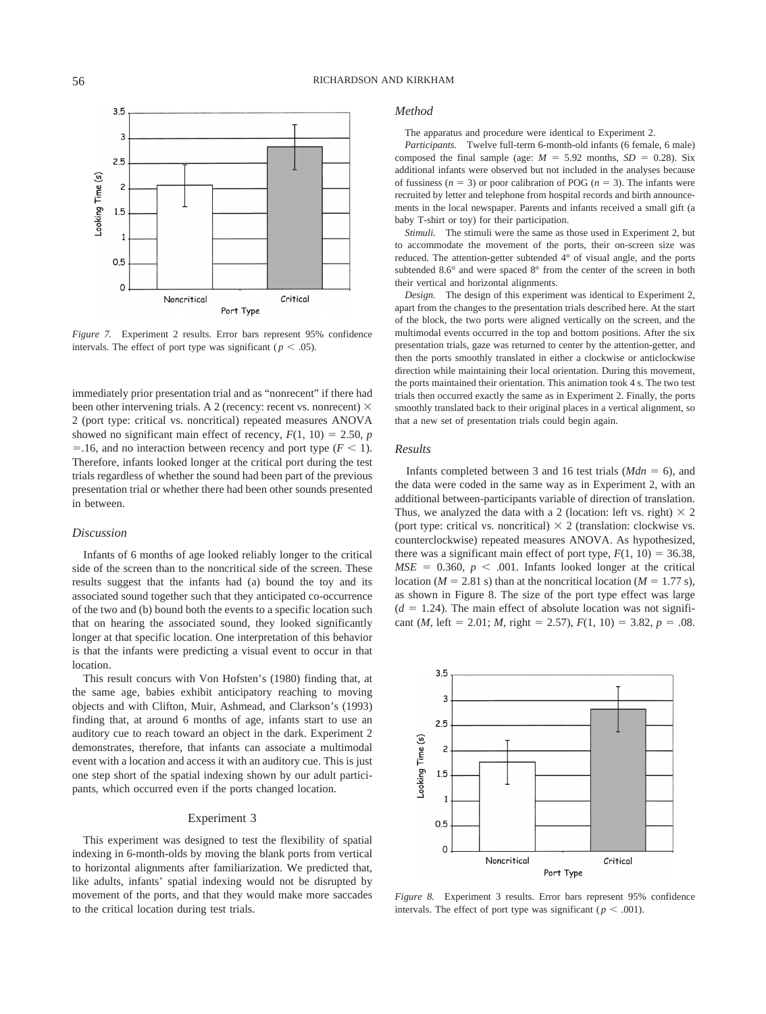*Figure 7.* Experiment 2 results. Error bars represent 95% confidence intervals. The effect of port type was significant ( $p < .05$ ).

immediately prior presentation trial and as "nonrecent" if there had been other intervening trials. A 2 (recency: recent vs. nonrecent)  $\times$ 2 (port type: critical vs. noncritical) repeated measures ANOVA showed no significant main effect of recency,  $F(1, 10) = 2.50$ , *p*  $=$ .16, and no interaction between recency and port type ( $F$  < 1). Therefore, infants looked longer at the critical port during the test trials regardless of whether the sound had been part of the previous presentation trial or whether there had been other sounds presented in between.

# *Discussion*

Infants of 6 months of age looked reliably longer to the critical side of the screen than to the noncritical side of the screen. These results suggest that the infants had (a) bound the toy and its associated sound together such that they anticipated co-occurrence of the two and (b) bound both the events to a specific location such that on hearing the associated sound, they looked significantly longer at that specific location. One interpretation of this behavior is that the infants were predicting a visual event to occur in that location.

This result concurs with Von Hofsten's (1980) finding that, at the same age, babies exhibit anticipatory reaching to moving objects and with Clifton, Muir, Ashmead, and Clarkson's (1993) finding that, at around 6 months of age, infants start to use an auditory cue to reach toward an object in the dark. Experiment 2 demonstrates, therefore, that infants can associate a multimodal event with a location and access it with an auditory cue. This is just one step short of the spatial indexing shown by our adult participants, which occurred even if the ports changed location.

#### Experiment 3

This experiment was designed to test the flexibility of spatial indexing in 6-month-olds by moving the blank ports from vertical to horizontal alignments after familiarization. We predicted that, like adults, infants' spatial indexing would not be disrupted by movement of the ports, and that they would make more saccades to the critical location during test trials.

# *Method*

The apparatus and procedure were identical to Experiment 2.

*Participants.* Twelve full-term 6-month-old infants (6 female, 6 male) composed the final sample (age:  $M = 5.92$  months,  $SD = 0.28$ ). Six additional infants were observed but not included in the analyses because of fussiness  $(n = 3)$  or poor calibration of POG  $(n = 3)$ . The infants were recruited by letter and telephone from hospital records and birth announcements in the local newspaper. Parents and infants received a small gift (a baby T-shirt or toy) for their participation.

*Stimuli.* The stimuli were the same as those used in Experiment 2, but to accommodate the movement of the ports, their on-screen size was reduced. The attention-getter subtended 4° of visual angle, and the ports subtended 8.6° and were spaced 8° from the center of the screen in both their vertical and horizontal alignments.

*Design.* The design of this experiment was identical to Experiment 2, apart from the changes to the presentation trials described here. At the start of the block, the two ports were aligned vertically on the screen, and the multimodal events occurred in the top and bottom positions. After the six presentation trials, gaze was returned to center by the attention-getter, and then the ports smoothly translated in either a clockwise or anticlockwise direction while maintaining their local orientation. During this movement, the ports maintained their orientation. This animation took 4 s. The two test trials then occurred exactly the same as in Experiment 2. Finally, the ports smoothly translated back to their original places in a vertical alignment, so that a new set of presentation trials could begin again.

#### *Results*

Infants completed between 3 and 16 test trials  $(Mdn = 6)$ , and the data were coded in the same way as in Experiment 2, with an additional between-participants variable of direction of translation. Thus, we analyzed the data with a 2 (location: left vs. right)  $\times$  2 (port type: critical vs. noncritical)  $\times$  2 (translation: clockwise vs. counterclockwise) repeated measures ANOVA. As hypothesized, there was a significant main effect of port type,  $F(1, 10) = 36.38$ ,  $MSE = 0.360$ ,  $p < .001$ . Infants looked longer at the critical location ( $M = 2.81$  s) than at the noncritical location ( $M = 1.77$  s), as shown in Figure 8. The size of the port type effect was large  $(d = 1.24)$ . The main effect of absolute location was not significant (*M*, left = 2.01; *M*, right = 2.57),  $F(1, 10) = 3.82$ ,  $p = .08$ .

![](_page_10_Figure_15.jpeg)

*Figure 8.* Experiment 3 results. Error bars represent 95% confidence intervals. The effect of port type was significant ( $p < .001$ ).

![](_page_10_Figure_17.jpeg)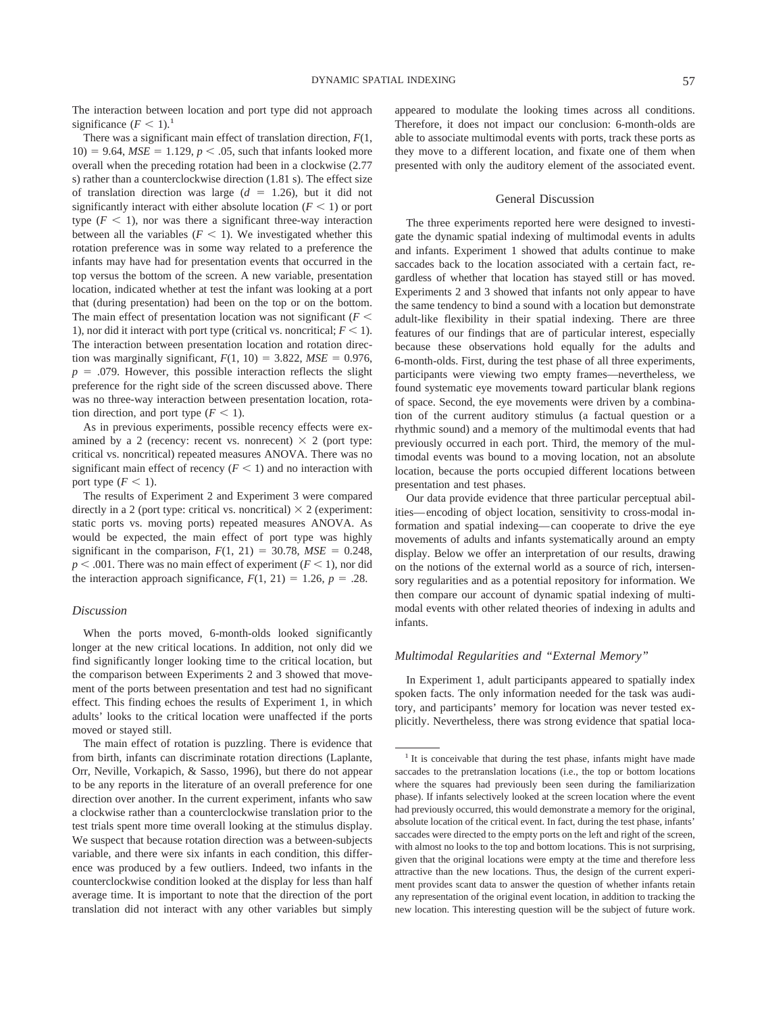The interaction between location and port type did not approach significance  $(F < 1)$ .<sup>1</sup>

There was a significant main effect of translation direction, *F*(1,  $10) = 9.64$ ,  $MSE = 1.129$ ,  $p < .05$ , such that infants looked more overall when the preceding rotation had been in a clockwise (2.77 s) rather than a counterclockwise direction (1.81 s). The effect size of translation direction was large  $(d = 1.26)$ , but it did not significantly interact with either absolute location  $(F \leq 1)$  or port type  $(F < 1)$ , nor was there a significant three-way interaction between all the variables  $(F \leq 1)$ . We investigated whether this rotation preference was in some way related to a preference the infants may have had for presentation events that occurred in the top versus the bottom of the screen. A new variable, presentation location, indicated whether at test the infant was looking at a port that (during presentation) had been on the top or on the bottom. The main effect of presentation location was not significant  $(F \leq$ 1), nor did it interact with port type (critical vs. noncritical;  $F < 1$ ). The interaction between presentation location and rotation direction was marginally significant,  $F(1, 10) = 3.822$ ,  $MSE = 0.976$ ,  $p = .079$ . However, this possible interaction reflects the slight preference for the right side of the screen discussed above. There was no three-way interaction between presentation location, rotation direction, and port type  $(F < 1)$ .

As in previous experiments, possible recency effects were examined by a 2 (recency: recent vs. nonrecent)  $\times$  2 (port type: critical vs. noncritical) repeated measures ANOVA. There was no significant main effect of recency  $(F < 1)$  and no interaction with port type  $(F < 1)$ .

The results of Experiment 2 and Experiment 3 were compared directly in a 2 (port type: critical vs. noncritical)  $\times$  2 (experiment: static ports vs. moving ports) repeated measures ANOVA. As would be expected, the main effect of port type was highly significant in the comparison,  $F(1, 21) = 30.78$ ,  $MSE = 0.248$ ,  $p < .001$ . There was no main effect of experiment ( $F < 1$ ), nor did the interaction approach significance,  $F(1, 21) = 1.26$ ,  $p = .28$ .

# *Discussion*

When the ports moved, 6-month-olds looked significantly longer at the new critical locations. In addition, not only did we find significantly longer looking time to the critical location, but the comparison between Experiments 2 and 3 showed that movement of the ports between presentation and test had no significant effect. This finding echoes the results of Experiment 1, in which adults' looks to the critical location were unaffected if the ports moved or stayed still.

The main effect of rotation is puzzling. There is evidence that from birth, infants can discriminate rotation directions (Laplante, Orr, Neville, Vorkapich, & Sasso, 1996), but there do not appear to be any reports in the literature of an overall preference for one direction over another. In the current experiment, infants who saw a clockwise rather than a counterclockwise translation prior to the test trials spent more time overall looking at the stimulus display. We suspect that because rotation direction was a between-subjects variable, and there were six infants in each condition, this difference was produced by a few outliers. Indeed, two infants in the counterclockwise condition looked at the display for less than half average time. It is important to note that the direction of the port translation did not interact with any other variables but simply appeared to modulate the looking times across all conditions. Therefore, it does not impact our conclusion: 6-month-olds are able to associate multimodal events with ports, track these ports as they move to a different location, and fixate one of them when presented with only the auditory element of the associated event.

#### General Discussion

The three experiments reported here were designed to investigate the dynamic spatial indexing of multimodal events in adults and infants. Experiment 1 showed that adults continue to make saccades back to the location associated with a certain fact, regardless of whether that location has stayed still or has moved. Experiments 2 and 3 showed that infants not only appear to have the same tendency to bind a sound with a location but demonstrate adult-like flexibility in their spatial indexing. There are three features of our findings that are of particular interest, especially because these observations hold equally for the adults and 6-month-olds. First, during the test phase of all three experiments, participants were viewing two empty frames—nevertheless, we found systematic eye movements toward particular blank regions of space. Second, the eye movements were driven by a combination of the current auditory stimulus (a factual question or a rhythmic sound) and a memory of the multimodal events that had previously occurred in each port. Third, the memory of the multimodal events was bound to a moving location, not an absolute location, because the ports occupied different locations between presentation and test phases.

Our data provide evidence that three particular perceptual abilities—encoding of object location, sensitivity to cross-modal information and spatial indexing—can cooperate to drive the eye movements of adults and infants systematically around an empty display. Below we offer an interpretation of our results, drawing on the notions of the external world as a source of rich, intersensory regularities and as a potential repository for information. We then compare our account of dynamic spatial indexing of multimodal events with other related theories of indexing in adults and infants.

# *Multimodal Regularities and "External Memory"*

In Experiment 1, adult participants appeared to spatially index spoken facts. The only information needed for the task was auditory, and participants' memory for location was never tested explicitly. Nevertheless, there was strong evidence that spatial loca-

 $<sup>1</sup>$  It is conceivable that during the test phase, infants might have made</sup> saccades to the pretranslation locations (i.e., the top or bottom locations where the squares had previously been seen during the familiarization phase). If infants selectively looked at the screen location where the event had previously occurred, this would demonstrate a memory for the original, absolute location of the critical event. In fact, during the test phase, infants' saccades were directed to the empty ports on the left and right of the screen, with almost no looks to the top and bottom locations. This is not surprising, given that the original locations were empty at the time and therefore less attractive than the new locations. Thus, the design of the current experiment provides scant data to answer the question of whether infants retain any representation of the original event location, in addition to tracking the new location. This interesting question will be the subject of future work.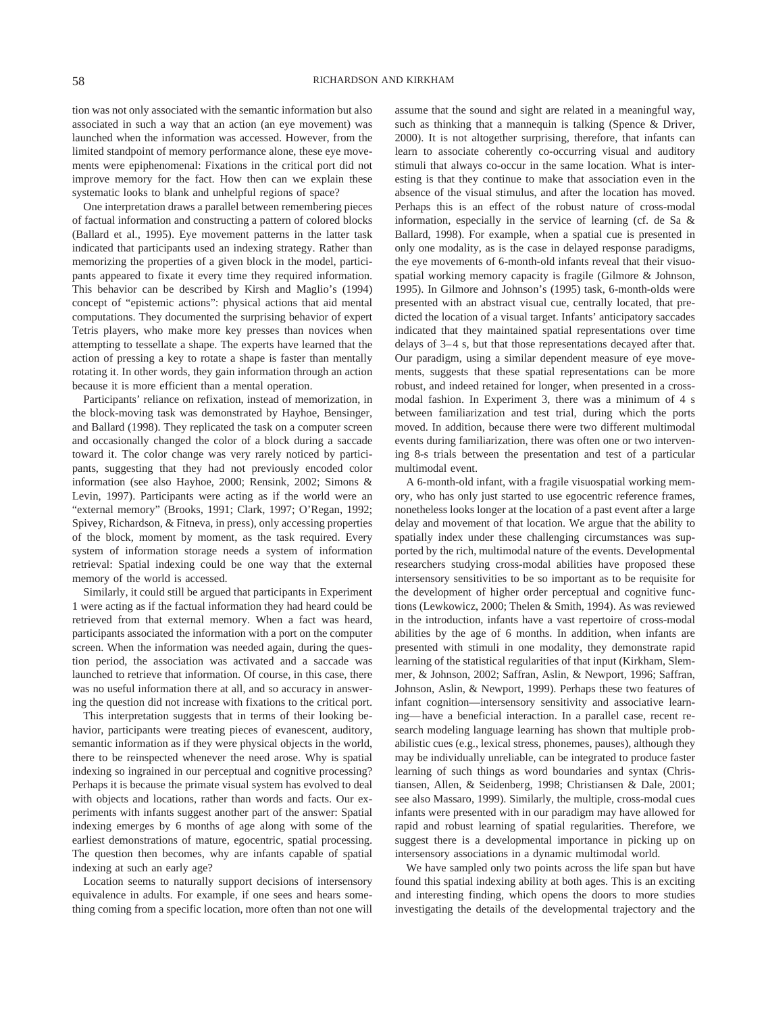tion was not only associated with the semantic information but also associated in such a way that an action (an eye movement) was launched when the information was accessed. However, from the limited standpoint of memory performance alone, these eye movements were epiphenomenal: Fixations in the critical port did not improve memory for the fact. How then can we explain these systematic looks to blank and unhelpful regions of space?

One interpretation draws a parallel between remembering pieces of factual information and constructing a pattern of colored blocks (Ballard et al., 1995). Eye movement patterns in the latter task indicated that participants used an indexing strategy. Rather than memorizing the properties of a given block in the model, participants appeared to fixate it every time they required information. This behavior can be described by Kirsh and Maglio's (1994) concept of "epistemic actions": physical actions that aid mental computations. They documented the surprising behavior of expert Tetris players, who make more key presses than novices when attempting to tessellate a shape. The experts have learned that the action of pressing a key to rotate a shape is faster than mentally rotating it. In other words, they gain information through an action because it is more efficient than a mental operation.

Participants' reliance on refixation, instead of memorization, in the block-moving task was demonstrated by Hayhoe, Bensinger, and Ballard (1998). They replicated the task on a computer screen and occasionally changed the color of a block during a saccade toward it. The color change was very rarely noticed by participants, suggesting that they had not previously encoded color information (see also Hayhoe, 2000; Rensink, 2002; Simons & Levin, 1997). Participants were acting as if the world were an "external memory" (Brooks, 1991; Clark, 1997; O'Regan, 1992; Spivey, Richardson, & Fitneva, in press), only accessing properties of the block, moment by moment, as the task required. Every system of information storage needs a system of information retrieval: Spatial indexing could be one way that the external memory of the world is accessed.

Similarly, it could still be argued that participants in Experiment 1 were acting as if the factual information they had heard could be retrieved from that external memory. When a fact was heard, participants associated the information with a port on the computer screen. When the information was needed again, during the question period, the association was activated and a saccade was launched to retrieve that information. Of course, in this case, there was no useful information there at all, and so accuracy in answering the question did not increase with fixations to the critical port.

This interpretation suggests that in terms of their looking behavior, participants were treating pieces of evanescent, auditory, semantic information as if they were physical objects in the world, there to be reinspected whenever the need arose. Why is spatial indexing so ingrained in our perceptual and cognitive processing? Perhaps it is because the primate visual system has evolved to deal with objects and locations, rather than words and facts. Our experiments with infants suggest another part of the answer: Spatial indexing emerges by 6 months of age along with some of the earliest demonstrations of mature, egocentric, spatial processing. The question then becomes, why are infants capable of spatial indexing at such an early age?

Location seems to naturally support decisions of intersensory equivalence in adults. For example, if one sees and hears something coming from a specific location, more often than not one will assume that the sound and sight are related in a meaningful way, such as thinking that a mannequin is talking (Spence & Driver, 2000). It is not altogether surprising, therefore, that infants can learn to associate coherently co-occurring visual and auditory stimuli that always co-occur in the same location. What is interesting is that they continue to make that association even in the absence of the visual stimulus, and after the location has moved. Perhaps this is an effect of the robust nature of cross-modal information, especially in the service of learning (cf. de Sa & Ballard, 1998). For example, when a spatial cue is presented in only one modality, as is the case in delayed response paradigms, the eye movements of 6-month-old infants reveal that their visuospatial working memory capacity is fragile (Gilmore & Johnson, 1995). In Gilmore and Johnson's (1995) task, 6-month-olds were presented with an abstract visual cue, centrally located, that predicted the location of a visual target. Infants' anticipatory saccades indicated that they maintained spatial representations over time delays of 3–4 s, but that those representations decayed after that. Our paradigm, using a similar dependent measure of eye movements, suggests that these spatial representations can be more robust, and indeed retained for longer, when presented in a crossmodal fashion. In Experiment 3, there was a minimum of 4 s between familiarization and test trial, during which the ports moved. In addition, because there were two different multimodal events during familiarization, there was often one or two intervening 8-s trials between the presentation and test of a particular multimodal event.

A 6-month-old infant, with a fragile visuospatial working memory, who has only just started to use egocentric reference frames, nonetheless looks longer at the location of a past event after a large delay and movement of that location. We argue that the ability to spatially index under these challenging circumstances was supported by the rich, multimodal nature of the events. Developmental researchers studying cross-modal abilities have proposed these intersensory sensitivities to be so important as to be requisite for the development of higher order perceptual and cognitive functions (Lewkowicz, 2000; Thelen & Smith, 1994). As was reviewed in the introduction, infants have a vast repertoire of cross-modal abilities by the age of 6 months. In addition, when infants are presented with stimuli in one modality, they demonstrate rapid learning of the statistical regularities of that input (Kirkham, Slemmer, & Johnson, 2002; Saffran, Aslin, & Newport, 1996; Saffran, Johnson, Aslin, & Newport, 1999). Perhaps these two features of infant cognition—intersensory sensitivity and associative learning—have a beneficial interaction. In a parallel case, recent research modeling language learning has shown that multiple probabilistic cues (e.g., lexical stress, phonemes, pauses), although they may be individually unreliable, can be integrated to produce faster learning of such things as word boundaries and syntax (Christiansen, Allen, & Seidenberg, 1998; Christiansen & Dale, 2001; see also Massaro, 1999). Similarly, the multiple, cross-modal cues infants were presented with in our paradigm may have allowed for rapid and robust learning of spatial regularities. Therefore, we suggest there is a developmental importance in picking up on intersensory associations in a dynamic multimodal world.

We have sampled only two points across the life span but have found this spatial indexing ability at both ages. This is an exciting and interesting finding, which opens the doors to more studies investigating the details of the developmental trajectory and the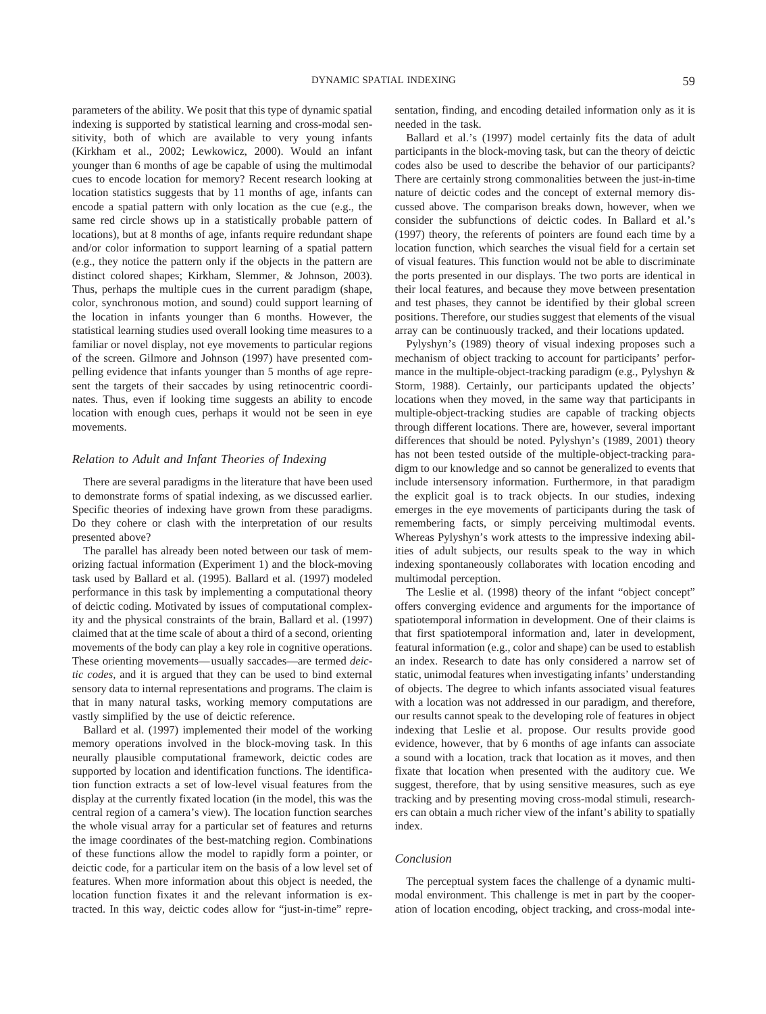parameters of the ability. We posit that this type of dynamic spatial indexing is supported by statistical learning and cross-modal sensitivity, both of which are available to very young infants (Kirkham et al., 2002; Lewkowicz, 2000). Would an infant younger than 6 months of age be capable of using the multimodal cues to encode location for memory? Recent research looking at location statistics suggests that by 11 months of age, infants can encode a spatial pattern with only location as the cue (e.g., the same red circle shows up in a statistically probable pattern of locations), but at 8 months of age, infants require redundant shape and/or color information to support learning of a spatial pattern (e.g., they notice the pattern only if the objects in the pattern are distinct colored shapes; Kirkham, Slemmer, & Johnson, 2003). Thus, perhaps the multiple cues in the current paradigm (shape, color, synchronous motion, and sound) could support learning of the location in infants younger than 6 months. However, the statistical learning studies used overall looking time measures to a familiar or novel display, not eye movements to particular regions of the screen. Gilmore and Johnson (1997) have presented compelling evidence that infants younger than 5 months of age represent the targets of their saccades by using retinocentric coordinates. Thus, even if looking time suggests an ability to encode location with enough cues, perhaps it would not be seen in eye movements.

# *Relation to Adult and Infant Theories of Indexing*

There are several paradigms in the literature that have been used to demonstrate forms of spatial indexing, as we discussed earlier. Specific theories of indexing have grown from these paradigms. Do they cohere or clash with the interpretation of our results presented above?

The parallel has already been noted between our task of memorizing factual information (Experiment 1) and the block-moving task used by Ballard et al. (1995). Ballard et al. (1997) modeled performance in this task by implementing a computational theory of deictic coding. Motivated by issues of computational complexity and the physical constraints of the brain, Ballard et al. (1997) claimed that at the time scale of about a third of a second, orienting movements of the body can play a key role in cognitive operations. These orienting movements—usually saccades—are termed *deictic codes,* and it is argued that they can be used to bind external sensory data to internal representations and programs. The claim is that in many natural tasks, working memory computations are vastly simplified by the use of deictic reference.

Ballard et al. (1997) implemented their model of the working memory operations involved in the block-moving task. In this neurally plausible computational framework, deictic codes are supported by location and identification functions. The identification function extracts a set of low-level visual features from the display at the currently fixated location (in the model, this was the central region of a camera's view). The location function searches the whole visual array for a particular set of features and returns the image coordinates of the best-matching region. Combinations of these functions allow the model to rapidly form a pointer, or deictic code, for a particular item on the basis of a low level set of features. When more information about this object is needed, the location function fixates it and the relevant information is extracted. In this way, deictic codes allow for "just-in-time" representation, finding, and encoding detailed information only as it is needed in the task.

Ballard et al.'s (1997) model certainly fits the data of adult participants in the block-moving task, but can the theory of deictic codes also be used to describe the behavior of our participants? There are certainly strong commonalities between the just-in-time nature of deictic codes and the concept of external memory discussed above. The comparison breaks down, however, when we consider the subfunctions of deictic codes. In Ballard et al.'s (1997) theory, the referents of pointers are found each time by a location function, which searches the visual field for a certain set of visual features. This function would not be able to discriminate the ports presented in our displays. The two ports are identical in their local features, and because they move between presentation and test phases, they cannot be identified by their global screen positions. Therefore, our studies suggest that elements of the visual array can be continuously tracked, and their locations updated.

Pylyshyn's (1989) theory of visual indexing proposes such a mechanism of object tracking to account for participants' performance in the multiple-object-tracking paradigm (e.g., Pylyshyn & Storm, 1988). Certainly, our participants updated the objects' locations when they moved, in the same way that participants in multiple-object-tracking studies are capable of tracking objects through different locations. There are, however, several important differences that should be noted. Pylyshyn's (1989, 2001) theory has not been tested outside of the multiple-object-tracking paradigm to our knowledge and so cannot be generalized to events that include intersensory information. Furthermore, in that paradigm the explicit goal is to track objects. In our studies, indexing emerges in the eye movements of participants during the task of remembering facts, or simply perceiving multimodal events. Whereas Pylyshyn's work attests to the impressive indexing abilities of adult subjects, our results speak to the way in which indexing spontaneously collaborates with location encoding and multimodal perception.

The Leslie et al. (1998) theory of the infant "object concept" offers converging evidence and arguments for the importance of spatiotemporal information in development. One of their claims is that first spatiotemporal information and, later in development, featural information (e.g., color and shape) can be used to establish an index. Research to date has only considered a narrow set of static, unimodal features when investigating infants' understanding of objects. The degree to which infants associated visual features with a location was not addressed in our paradigm, and therefore, our results cannot speak to the developing role of features in object indexing that Leslie et al. propose. Our results provide good evidence, however, that by 6 months of age infants can associate a sound with a location, track that location as it moves, and then fixate that location when presented with the auditory cue. We suggest, therefore, that by using sensitive measures, such as eye tracking and by presenting moving cross-modal stimuli, researchers can obtain a much richer view of the infant's ability to spatially index.

# *Conclusion*

The perceptual system faces the challenge of a dynamic multimodal environment. This challenge is met in part by the cooperation of location encoding, object tracking, and cross-modal inte-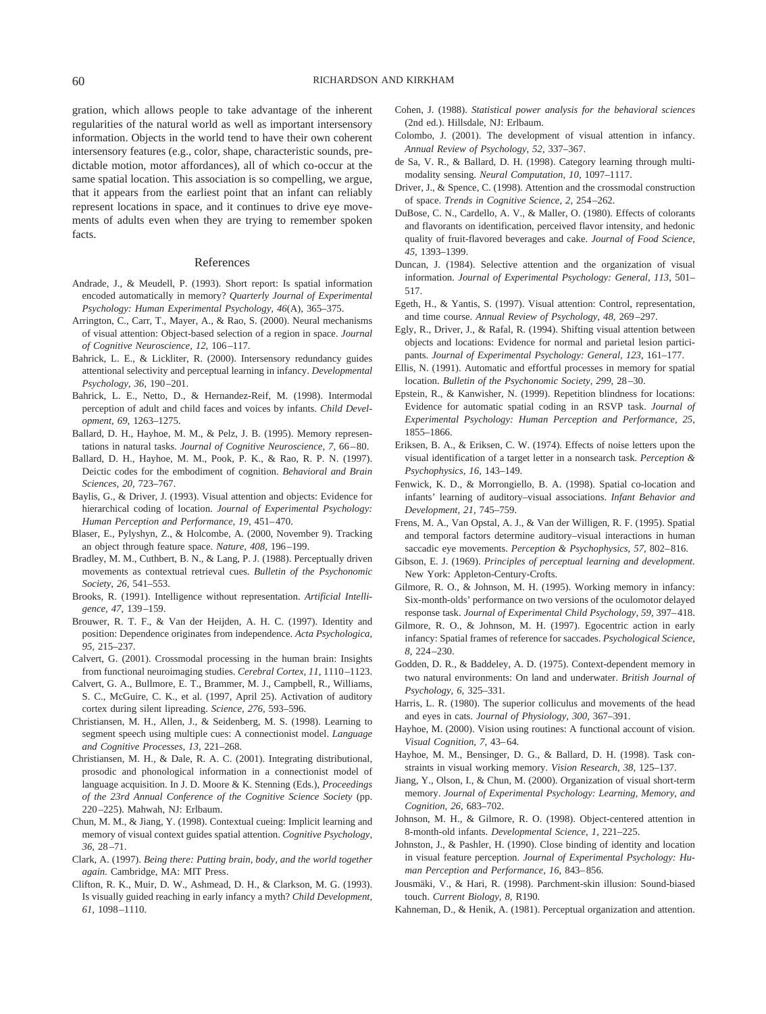gration, which allows people to take advantage of the inherent regularities of the natural world as well as important intersensory information. Objects in the world tend to have their own coherent intersensory features (e.g., color, shape, characteristic sounds, predictable motion, motor affordances), all of which co-occur at the same spatial location. This association is so compelling, we argue, that it appears from the earliest point that an infant can reliably represent locations in space, and it continues to drive eye movements of adults even when they are trying to remember spoken facts.

# References

- Andrade, J., & Meudell, P. (1993). Short report: Is spatial information encoded automatically in memory? *Quarterly Journal of Experimental Psychology: Human Experimental Psychology, 46*(A), 365–375.
- Arrington, C., Carr, T., Mayer, A., & Rao, S. (2000). Neural mechanisms of visual attention: Object-based selection of a region in space. *Journal of Cognitive Neuroscience, 12,* 106–117.
- Bahrick, L. E., & Lickliter, R. (2000). Intersensory redundancy guides attentional selectivity and perceptual learning in infancy. *Developmental Psychology, 36,* 190–201.
- Bahrick, L. E., Netto, D., & Hernandez-Reif, M. (1998). Intermodal perception of adult and child faces and voices by infants. *Child Development, 69,* 1263–1275.
- Ballard, D. H., Hayhoe, M. M., & Pelz, J. B. (1995). Memory representations in natural tasks. *Journal of Cognitive Neuroscience, 7,* 66–80.
- Ballard, D. H., Hayhoe, M. M., Pook, P. K., & Rao, R. P. N. (1997). Deictic codes for the embodiment of cognition. *Behavioral and Brain Sciences, 20,* 723–767.
- Baylis, G., & Driver, J. (1993). Visual attention and objects: Evidence for hierarchical coding of location. *Journal of Experimental Psychology: Human Perception and Performance, 19,* 451–470.
- Blaser, E., Pylyshyn, Z., & Holcombe, A. (2000, November 9). Tracking an object through feature space. *Nature, 408,* 196–199.
- Bradley, M. M., Cuthbert, B. N., & Lang, P. J. (1988). Perceptually driven movements as contextual retrieval cues. *Bulletin of the Psychonomic Society, 26,* 541–553.
- Brooks, R. (1991). Intelligence without representation. *Artificial Intelligence, 47,* 139–159.
- Brouwer, R. T. F., & Van der Heijden, A. H. C. (1997). Identity and position: Dependence originates from independence. *Acta Psychologica, 95,* 215–237.
- Calvert, G. (2001). Crossmodal processing in the human brain: Insights from functional neuroimaging studies. *Cerebral Cortex, 11,* 1110–1123.
- Calvert, G. A., Bullmore, E. T., Brammer, M. J., Campbell, R., Williams, S. C., McGuire, C. K., et al. (1997, April 25). Activation of auditory cortex during silent lipreading. *Science, 276,* 593–596.
- Christiansen, M. H., Allen, J., & Seidenberg, M. S. (1998). Learning to segment speech using multiple cues: A connectionist model. *Language and Cognitive Processes, 13,* 221–268.
- Christiansen, M. H., & Dale, R. A. C. (2001). Integrating distributional, prosodic and phonological information in a connectionist model of language acquisition. In J. D. Moore & K. Stenning (Eds.), *Proceedings of the 23rd Annual Conference of the Cognitive Science Society* (pp. 220–225). Mahwah, NJ: Erlbaum.
- Chun, M. M., & Jiang, Y. (1998). Contextual cueing: Implicit learning and memory of visual context guides spatial attention. *Cognitive Psychology, 36,* 28–71.
- Clark, A. (1997). *Being there: Putting brain, body, and the world together again.* Cambridge, MA: MIT Press.
- Clifton, R. K., Muir, D. W., Ashmead, D. H., & Clarkson, M. G. (1993). Is visually guided reaching in early infancy a myth? *Child Development, 61,* 1098–1110.
- Cohen, J. (1988). *Statistical power analysis for the behavioral sciences* (2nd ed.). Hillsdale, NJ: Erlbaum.
- Colombo, J. (2001). The development of visual attention in infancy. *Annual Review of Psychology, 52,* 337–367.
- de Sa, V. R., & Ballard, D. H. (1998). Category learning through multimodality sensing. *Neural Computation, 10,* 1097–1117.
- Driver, J., & Spence, C. (1998). Attention and the crossmodal construction of space. *Trends in Cognitive Science, 2,* 254–262.
- DuBose, C. N., Cardello, A. V., & Maller, O. (1980). Effects of colorants and flavorants on identification, perceived flavor intensity, and hedonic quality of fruit-flavored beverages and cake. *Journal of Food Science, 45,* 1393–1399.
- Duncan, J. (1984). Selective attention and the organization of visual information. *Journal of Experimental Psychology: General, 113,* 501– 517.
- Egeth, H., & Yantis, S. (1997). Visual attention: Control, representation, and time course. *Annual Review of Psychology, 48,* 269–297.
- Egly, R., Driver, J., & Rafal, R. (1994). Shifting visual attention between objects and locations: Evidence for normal and parietal lesion participants. *Journal of Experimental Psychology: General, 123,* 161–177.
- Ellis, N. (1991). Automatic and effortful processes in memory for spatial location. *Bulletin of the Psychonomic Society, 299,* 28–30.
- Epstein, R., & Kanwisher, N. (1999). Repetition blindness for locations: Evidence for automatic spatial coding in an RSVP task. *Journal of Experimental Psychology: Human Perception and Performance, 25,* 1855–1866.
- Eriksen, B. A., & Eriksen, C. W. (1974). Effects of noise letters upon the visual identification of a target letter in a nonsearch task. *Perception & Psychophysics, 16,* 143–149.
- Fenwick, K. D., & Morrongiello, B. A. (1998). Spatial co-location and infants' learning of auditory–visual associations. *Infant Behavior and Development, 21,* 745–759.
- Frens, M. A., Van Opstal, A. J., & Van der Willigen, R. F. (1995). Spatial and temporal factors determine auditory–visual interactions in human saccadic eye movements. *Perception & Psychophysics, 57,* 802–816.
- Gibson, E. J. (1969). *Principles of perceptual learning and development.* New York: Appleton-Century-Crofts.
- Gilmore, R. O., & Johnson, M. H. (1995). Working memory in infancy: Six-month-olds' performance on two versions of the oculomotor delayed response task. *Journal of Experimental Child Psychology, 59,* 397–418.
- Gilmore, R. O., & Johnson, M. H. (1997). Egocentric action in early infancy: Spatial frames of reference for saccades. *Psychological Science, 8,* 224–230.
- Godden, D. R., & Baddeley, A. D. (1975). Context-dependent memory in two natural environments: On land and underwater. *British Journal of Psychology, 6,* 325–331.
- Harris, L. R. (1980). The superior colliculus and movements of the head and eyes in cats. *Journal of Physiology, 300,* 367–391.
- Hayhoe, M. (2000). Vision using routines: A functional account of vision. *Visual Cognition, 7,* 43–64.
- Hayhoe, M. M., Bensinger, D. G., & Ballard, D. H. (1998). Task constraints in visual working memory. *Vision Research, 38,* 125–137.
- Jiang, Y., Olson, I., & Chun, M. (2000). Organization of visual short-term memory. *Journal of Experimental Psychology: Learning, Memory, and Cognition, 26,* 683–702.
- Johnson, M. H., & Gilmore, R. O. (1998). Object-centered attention in 8-month-old infants. *Developmental Science, 1,* 221–225.
- Johnston, J., & Pashler, H. (1990). Close binding of identity and location in visual feature perception. *Journal of Experimental Psychology: Human Perception and Performance, 16,* 843–856.
- Jousmäki, V., & Hari, R. (1998). Parchment-skin illusion: Sound-biased touch. *Current Biology, 8,* R190.
- Kahneman, D., & Henik, A. (1981). Perceptual organization and attention.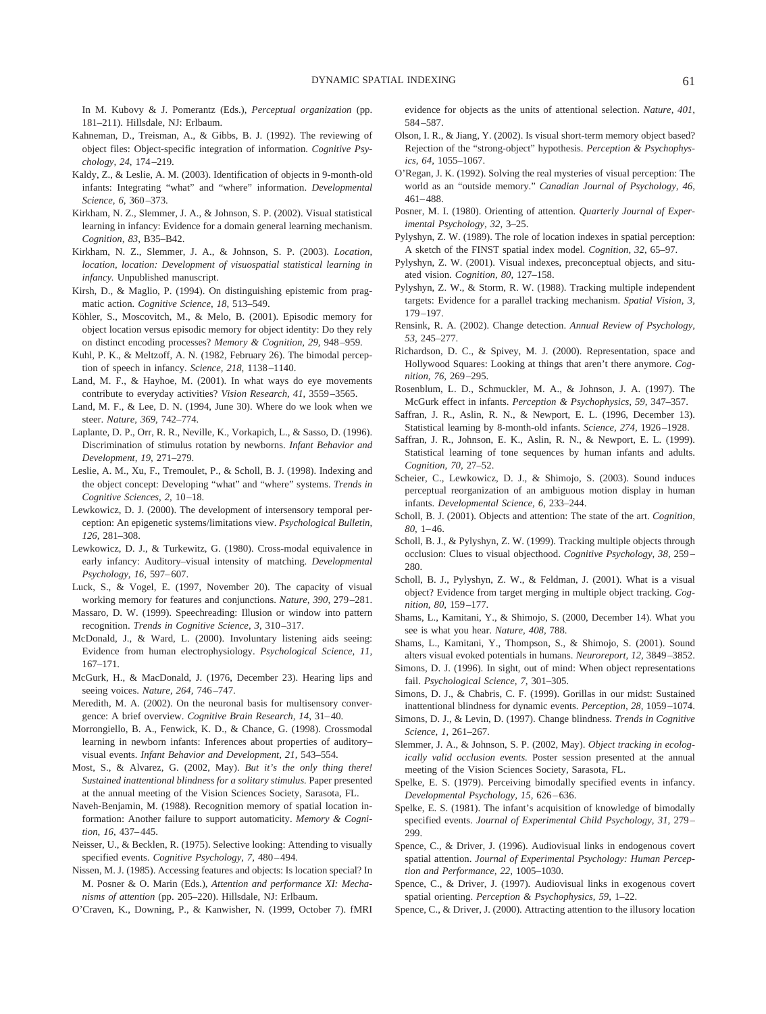In M. Kubovy & J. Pomerantz (Eds.), *Perceptual organization* (pp. 181–211). Hillsdale, NJ: Erlbaum.

- Kahneman, D., Treisman, A., & Gibbs, B. J. (1992). The reviewing of object files: Object-specific integration of information. *Cognitive Psychology, 24,* 174–219.
- Kaldy, Z., & Leslie, A. M. (2003). Identification of objects in 9-month-old infants: Integrating "what" and "where" information. *Developmental Science, 6,* 360–373.
- Kirkham, N. Z., Slemmer, J. A., & Johnson, S. P. (2002). Visual statistical learning in infancy: Evidence for a domain general learning mechanism. *Cognition, 83,* B35–B42.
- Kirkham, N. Z., Slemmer, J. A., & Johnson, S. P. (2003). *Location, location, location: Development of visuospatial statistical learning in infancy.* Unpublished manuscript.
- Kirsh, D., & Maglio, P. (1994). On distinguishing epistemic from pragmatic action. *Cognitive Science, 18,* 513–549.
- Köhler, S., Moscovitch, M., & Melo, B. (2001). Episodic memory for object location versus episodic memory for object identity: Do they rely on distinct encoding processes? *Memory & Cognition, 29,* 948–959.
- Kuhl, P. K., & Meltzoff, A. N. (1982, February 26). The bimodal perception of speech in infancy. *Science, 218,* 1138–1140.
- Land, M. F., & Hayhoe, M. (2001). In what ways do eye movements contribute to everyday activities? *Vision Research, 41,* 3559–3565.
- Land, M. F., & Lee, D. N. (1994, June 30). Where do we look when we steer. *Nature, 369,* 742–774.
- Laplante, D. P., Orr, R. R., Neville, K., Vorkapich, L., & Sasso, D. (1996). Discrimination of stimulus rotation by newborns. *Infant Behavior and Development, 19,* 271–279.
- Leslie, A. M., Xu, F., Tremoulet, P., & Scholl, B. J. (1998). Indexing and the object concept: Developing "what" and "where" systems. *Trends in Cognitive Sciences, 2,* 10–18.
- Lewkowicz, D. J. (2000). The development of intersensory temporal perception: An epigenetic systems/limitations view. *Psychological Bulletin, 126,* 281–308.
- Lewkowicz, D. J., & Turkewitz, G. (1980). Cross-modal equivalence in early infancy: Auditory–visual intensity of matching. *Developmental Psychology, 16,* 597–607.
- Luck, S., & Vogel, E. (1997, November 20). The capacity of visual working memory for features and conjunctions. *Nature, 390,* 279–281.
- Massaro, D. W. (1999). Speechreading: Illusion or window into pattern recognition. *Trends in Cognitive Science, 3,* 310–317.
- McDonald, J., & Ward, L. (2000). Involuntary listening aids seeing: Evidence from human electrophysiology. *Psychological Science, 11,* 167–171.
- McGurk, H., & MacDonald, J. (1976, December 23). Hearing lips and seeing voices. *Nature, 264,* 746–747.
- Meredith, M. A. (2002). On the neuronal basis for multisensory convergence: A brief overview. *Cognitive Brain Research, 14,* 31–40.
- Morrongiello, B. A., Fenwick, K. D., & Chance, G. (1998). Crossmodal learning in newborn infants: Inferences about properties of auditory– visual events. *Infant Behavior and Development, 21,* 543–554.
- Most, S., & Alvarez, G. (2002, May). *But it's the only thing there! Sustained inattentional blindness for a solitary stimulus.* Paper presented at the annual meeting of the Vision Sciences Society, Sarasota, FL.
- Naveh-Benjamin, M. (1988). Recognition memory of spatial location information: Another failure to support automaticity. *Memory & Cognition, 16,* 437–445.
- Neisser, U., & Becklen, R. (1975). Selective looking: Attending to visually specified events. *Cognitive Psychology, 7,* 480–494.
- Nissen, M. J. (1985). Accessing features and objects: Is location special? In M. Posner & O. Marin (Eds.), *Attention and performance XI: Mechanisms of attention* (pp. 205–220). Hillsdale, NJ: Erlbaum.
- O'Craven, K., Downing, P., & Kanwisher, N. (1999, October 7). fMRI

evidence for objects as the units of attentional selection. *Nature, 401,* 584–587.

- Olson, I. R., & Jiang, Y. (2002). Is visual short-term memory object based? Rejection of the "strong-object" hypothesis. *Perception & Psychophysics, 64,* 1055–1067.
- O'Regan, J. K. (1992). Solving the real mysteries of visual perception: The world as an "outside memory." *Canadian Journal of Psychology, 46,* 461–488.
- Posner, M. I. (1980). Orienting of attention. *Quarterly Journal of Experimental Psychology, 32,* 3–25.
- Pylyshyn, Z. W. (1989). The role of location indexes in spatial perception: A sketch of the FINST spatial index model. *Cognition, 32,* 65–97.
- Pylyshyn, Z. W. (2001). Visual indexes, preconceptual objects, and situated vision. *Cognition, 80,* 127–158.
- Pylyshyn, Z. W., & Storm, R. W. (1988). Tracking multiple independent targets: Evidence for a parallel tracking mechanism. *Spatial Vision, 3,* 179–197.
- Rensink, R. A. (2002). Change detection. *Annual Review of Psychology, 53,* 245–277.
- Richardson, D. C., & Spivey, M. J. (2000). Representation, space and Hollywood Squares: Looking at things that aren't there anymore. *Cognition, 76,* 269–295.
- Rosenblum, L. D., Schmuckler, M. A., & Johnson, J. A. (1997). The McGurk effect in infants. *Perception & Psychophysics, 59,* 347–357.
- Saffran, J. R., Aslin, R. N., & Newport, E. L. (1996, December 13). Statistical learning by 8-month-old infants. *Science, 274,* 1926–1928.
- Saffran, J. R., Johnson, E. K., Aslin, R. N., & Newport, E. L. (1999). Statistical learning of tone sequences by human infants and adults. *Cognition, 70,* 27–52.
- Scheier, C., Lewkowicz, D. J., & Shimojo, S. (2003). Sound induces perceptual reorganization of an ambiguous motion display in human infants. *Developmental Science, 6,* 233–244.
- Scholl, B. J. (2001). Objects and attention: The state of the art. *Cognition, 80,* 1–46.
- Scholl, B. J., & Pylyshyn, Z. W. (1999). Tracking multiple objects through occlusion: Clues to visual objecthood. *Cognitive Psychology, 38,* 259– 280
- Scholl, B. J., Pylyshyn, Z. W., & Feldman, J. (2001). What is a visual object? Evidence from target merging in multiple object tracking. *Cognition, 80,* 159–177.
- Shams, L., Kamitani, Y., & Shimojo, S. (2000, December 14). What you see is what you hear. *Nature, 408,* 788.
- Shams, L., Kamitani, Y., Thompson, S., & Shimojo, S. (2001). Sound alters visual evoked potentials in humans. *Neuroreport, 12,* 3849–3852.
- Simons, D. J. (1996). In sight, out of mind: When object representations fail. *Psychological Science, 7,* 301–305.
- Simons, D. J., & Chabris, C. F. (1999). Gorillas in our midst: Sustained inattentional blindness for dynamic events. *Perception, 28,* 1059–1074.
- Simons, D. J., & Levin, D. (1997). Change blindness. *Trends in Cognitive Science, 1,* 261–267.
- Slemmer, J. A., & Johnson, S. P. (2002, May). *Object tracking in ecologically valid occlusion events.* Poster session presented at the annual meeting of the Vision Sciences Society, Sarasota, FL.
- Spelke, E. S. (1979). Perceiving bimodally specified events in infancy. *Developmental Psychology, 15,* 626–636.
- Spelke, E. S. (1981). The infant's acquisition of knowledge of bimodally specified events. *Journal of Experimental Child Psychology, 31,* 279– 299.
- Spence, C., & Driver, J. (1996). Audiovisual links in endogenous covert spatial attention. *Journal of Experimental Psychology: Human Perception and Performance, 22,* 1005–1030.
- Spence, C., & Driver, J. (1997). Audiovisual links in exogenous covert spatial orienting. *Perception & Psychophysics, 59,* 1–22.
- Spence, C., & Driver, J. (2000). Attracting attention to the illusory location